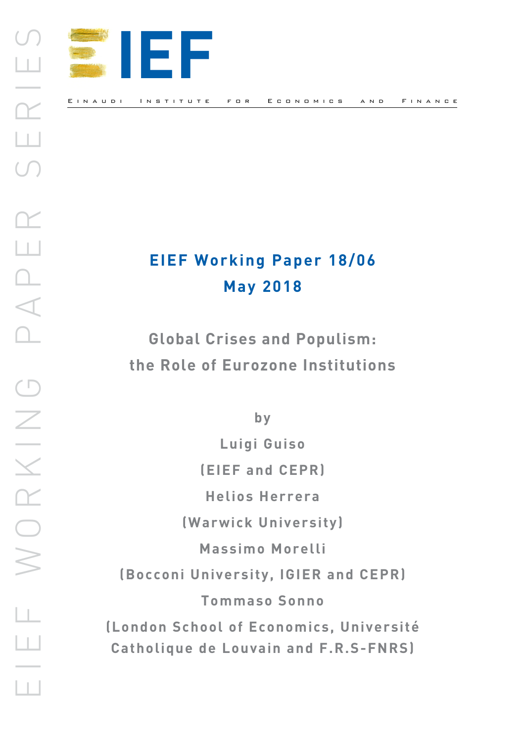

# **EIEF Working Paper 18/06 May 2018**

**Global Crises and Populism: the Role of Eurozone Institutions** 

**by**

**Luigi Guiso (EIEF and CEPR) Helios Herrera (Warwick University) Massimo Morelli (Bocconi University, IGIER and CEPR) Tommaso Sonno (London School of Economics, Université Catholique de Louvain and F.R.S-FNRS)**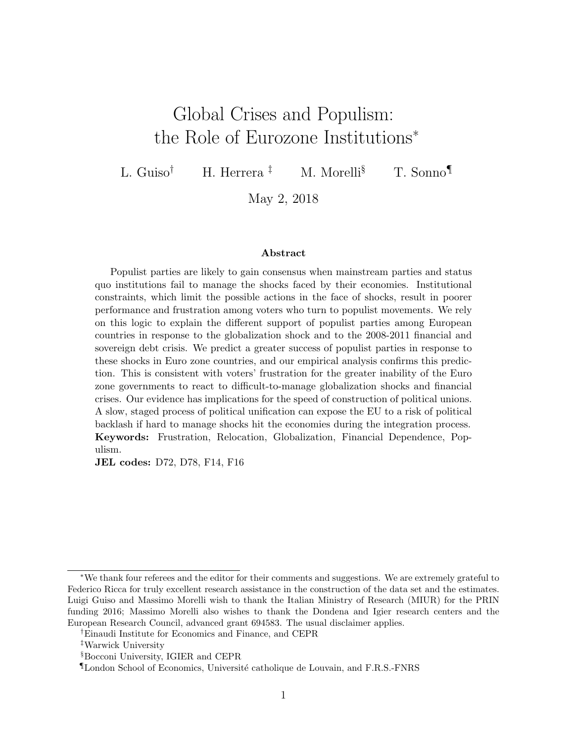# <span id="page-1-0"></span>Global Crises and Populism: the Role of Eurozone Institutions<sup>∗</sup>

L. Guiso<sup>†</sup> H. Herrera<sup>‡</sup> M. Morelli<sup>§</sup> T. Sonno<sup>¶</sup>

May 2, 2018

#### Abstract

Populist parties are likely to gain consensus when mainstream parties and status quo institutions fail to manage the shocks faced by their economies. Institutional constraints, which limit the possible actions in the face of shocks, result in poorer performance and frustration among voters who turn to populist movements. We rely on this logic to explain the different support of populist parties among European countries in response to the globalization shock and to the 2008-2011 financial and sovereign debt crisis. We predict a greater success of populist parties in response to these shocks in Euro zone countries, and our empirical analysis confirms this prediction. This is consistent with voters' frustration for the greater inability of the Euro zone governments to react to difficult-to-manage globalization shocks and financial crises. Our evidence has implications for the speed of construction of political unions. A slow, staged process of political unification can expose the EU to a risk of political backlash if hard to manage shocks hit the economies during the integration process. Keywords: Frustration, Relocation, Globalization, Financial Dependence, Populism.

JEL codes: D72, D78, F14, F16

<sup>∗</sup>We thank four referees and the editor for their comments and suggestions. We are extremely grateful to Federico Ricca for truly excellent research assistance in the construction of the data set and the estimates. Luigi Guiso and Massimo Morelli wish to thank the Italian Ministry of Research (MIUR) for the PRIN funding 2016; Massimo Morelli also wishes to thank the Dondena and Igier research centers and the European Research Council, advanced grant 694583. The usual disclaimer applies.

<sup>†</sup>Einaudi Institute for Economics and Finance, and CEPR

<sup>‡</sup>Warwick University

<sup>§</sup>Bocconi University, IGIER and CEPR

<sup>¶</sup>London School of Economics, Universit´e catholique de Louvain, and F.R.S.-FNRS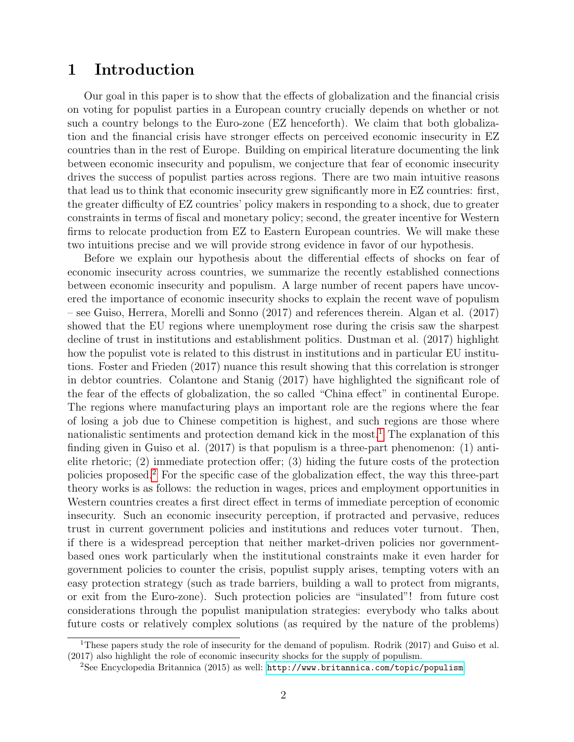### 1 Introduction

Our goal in this paper is to show that the effects of globalization and the financial crisis on voting for populist parties in a European country crucially depends on whether or not such a country belongs to the Euro-zone (EZ henceforth). We claim that both globalization and the financial crisis have stronger effects on perceived economic insecurity in EZ countries than in the rest of Europe. Building on empirical literature documenting the link between economic insecurity and populism, we conjecture that fear of economic insecurity drives the success of populist parties across regions. There are two main intuitive reasons that lead us to think that economic insecurity grew significantly more in EZ countries: first, the greater difficulty of EZ countries' policy makers in responding to a shock, due to greater constraints in terms of fiscal and monetary policy; second, the greater incentive for Western firms to relocate production from EZ to Eastern European countries. We will make these two intuitions precise and we will provide strong evidence in favor of our hypothesis.

Before we explain our hypothesis about the differential effects of shocks on fear of economic insecurity across countries, we summarize the recently established connections between economic insecurity and populism. A large number of recent papers have uncovered the importance of economic insecurity shocks to explain the recent wave of populism – see Guiso, Herrera, Morelli and Sonno (2017) and references therein. Algan et al. (2017) showed that the EU regions where unemployment rose during the crisis saw the sharpest decline of trust in institutions and establishment politics. Dustman et al. (2017) highlight how the populist vote is related to this distrust in institutions and in particular EU institutions. Foster and Frieden (2017) nuance this result showing that this correlation is stronger in debtor countries. Colantone and Stanig (2017) have highlighted the significant role of the fear of the effects of globalization, the so called "China effect" in continental Europe. The regions where manufacturing plays an important role are the regions where the fear of losing a job due to Chinese competition is highest, and such regions are those where nationalistic sentiments and protection demand kick in the most.<sup>[1](#page-1-0)</sup> The explanation of this finding given in Guiso et al. (2017) is that populism is a three-part phenomenon: (1) antielite rhetoric; (2) immediate protection offer; (3) hiding the future costs of the protection policies proposed.[2](#page-1-0) For the specific case of the globalization effect, the way this three-part theory works is as follows: the reduction in wages, prices and employment opportunities in Western countries creates a first direct effect in terms of immediate perception of economic insecurity. Such an economic insecurity perception, if protracted and pervasive, reduces trust in current government policies and institutions and reduces voter turnout. Then, if there is a widespread perception that neither market-driven policies nor governmentbased ones work particularly when the institutional constraints make it even harder for government policies to counter the crisis, populist supply arises, tempting voters with an easy protection strategy (such as trade barriers, building a wall to protect from migrants, or exit from the Euro-zone). Such protection policies are "insulated"! from future cost considerations through the populist manipulation strategies: everybody who talks about future costs or relatively complex solutions (as required by the nature of the problems)

<sup>&</sup>lt;sup>1</sup>These papers study the role of insecurity for the demand of populism. Rodrik (2017) and Guiso et al. (2017) also highlight the role of economic insecurity shocks for the supply of populism.

<sup>2</sup>See Encyclopedia Britannica (2015) as well: <http://www.britannica.com/topic/populism>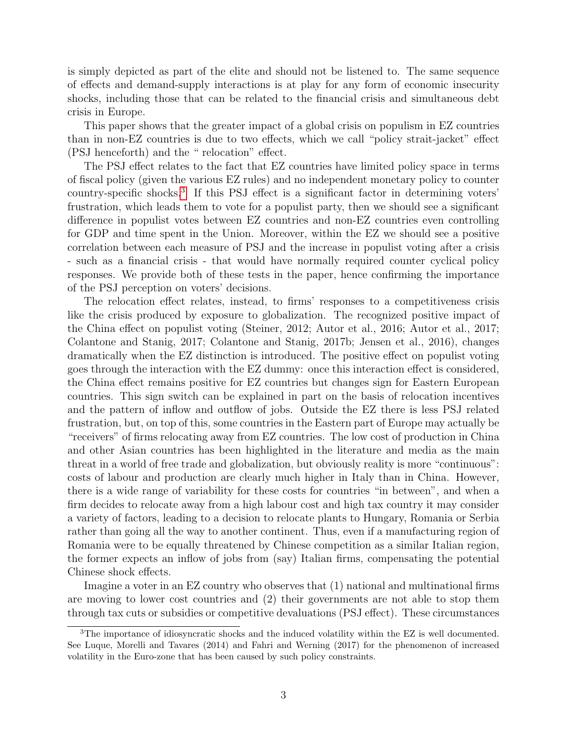is simply depicted as part of the elite and should not be listened to. The same sequence of effects and demand-supply interactions is at play for any form of economic insecurity shocks, including those that can be related to the financial crisis and simultaneous debt crisis in Europe.

This paper shows that the greater impact of a global crisis on populism in EZ countries than in non-EZ countries is due to two effects, which we call "policy strait-jacket" effect (PSJ henceforth) and the " relocation" effect.

The PSJ effect relates to the fact that EZ countries have limited policy space in terms of fiscal policy (given the various EZ rules) and no independent monetary policy to counter country-specific shocks.[3](#page-1-0) If this PSJ effect is a significant factor in determining voters' frustration, which leads them to vote for a populist party, then we should see a significant difference in populist votes between EZ countries and non-EZ countries even controlling for GDP and time spent in the Union. Moreover, within the EZ we should see a positive correlation between each measure of PSJ and the increase in populist voting after a crisis - such as a financial crisis - that would have normally required counter cyclical policy responses. We provide both of these tests in the paper, hence confirming the importance of the PSJ perception on voters' decisions.

The relocation effect relates, instead, to firms' responses to a competitiveness crisis like the crisis produced by exposure to globalization. The recognized positive impact of the China effect on populist voting (Steiner, 2012; Autor et al., 2016; Autor et al., 2017; Colantone and Stanig, 2017; Colantone and Stanig, 2017b; Jensen et al., 2016), changes dramatically when the EZ distinction is introduced. The positive effect on populist voting goes through the interaction with the EZ dummy: once this interaction effect is considered, the China effect remains positive for EZ countries but changes sign for Eastern European countries. This sign switch can be explained in part on the basis of relocation incentives and the pattern of inflow and outflow of jobs. Outside the EZ there is less PSJ related frustration, but, on top of this, some countries in the Eastern part of Europe may actually be "receivers" of firms relocating away from EZ countries. The low cost of production in China and other Asian countries has been highlighted in the literature and media as the main threat in a world of free trade and globalization, but obviously reality is more "continuous": costs of labour and production are clearly much higher in Italy than in China. However, there is a wide range of variability for these costs for countries "in between", and when a firm decides to relocate away from a high labour cost and high tax country it may consider a variety of factors, leading to a decision to relocate plants to Hungary, Romania or Serbia rather than going all the way to another continent. Thus, even if a manufacturing region of Romania were to be equally threatened by Chinese competition as a similar Italian region, the former expects an inflow of jobs from (say) Italian firms, compensating the potential Chinese shock effects.

Imagine a voter in an EZ country who observes that (1) national and multinational firms are moving to lower cost countries and (2) their governments are not able to stop them through tax cuts or subsidies or competitive devaluations (PSJ effect). These circumstances

<sup>3</sup>The importance of idiosyncratic shocks and the induced volatility within the EZ is well documented. See Luque, Morelli and Tavares (2014) and Fahri and Werning (2017) for the phenomenon of increased volatility in the Euro-zone that has been caused by such policy constraints.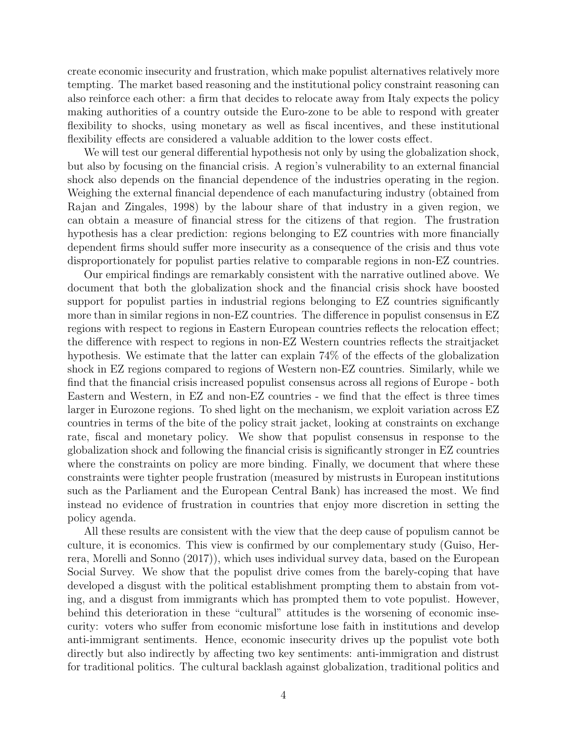create economic insecurity and frustration, which make populist alternatives relatively more tempting. The market based reasoning and the institutional policy constraint reasoning can also reinforce each other: a firm that decides to relocate away from Italy expects the policy making authorities of a country outside the Euro-zone to be able to respond with greater flexibility to shocks, using monetary as well as fiscal incentives, and these institutional flexibility effects are considered a valuable addition to the lower costs effect.

We will test our general differential hypothesis not only by using the globalization shock, but also by focusing on the financial crisis. A region's vulnerability to an external financial shock also depends on the financial dependence of the industries operating in the region. Weighing the external financial dependence of each manufacturing industry (obtained from Rajan and Zingales, 1998) by the labour share of that industry in a given region, we can obtain a measure of financial stress for the citizens of that region. The frustration hypothesis has a clear prediction: regions belonging to EZ countries with more financially dependent firms should suffer more insecurity as a consequence of the crisis and thus vote disproportionately for populist parties relative to comparable regions in non-EZ countries.

Our empirical findings are remarkably consistent with the narrative outlined above. We document that both the globalization shock and the financial crisis shock have boosted support for populist parties in industrial regions belonging to EZ countries significantly more than in similar regions in non-EZ countries. The difference in populist consensus in EZ regions with respect to regions in Eastern European countries reflects the relocation effect; the difference with respect to regions in non-EZ Western countries reflects the straitjacket hypothesis. We estimate that the latter can explain 74% of the effects of the globalization shock in EZ regions compared to regions of Western non-EZ countries. Similarly, while we find that the financial crisis increased populist consensus across all regions of Europe - both Eastern and Western, in EZ and non-EZ countries - we find that the effect is three times larger in Eurozone regions. To shed light on the mechanism, we exploit variation across EZ countries in terms of the bite of the policy strait jacket, looking at constraints on exchange rate, fiscal and monetary policy. We show that populist consensus in response to the globalization shock and following the financial crisis is significantly stronger in EZ countries where the constraints on policy are more binding. Finally, we document that where these constraints were tighter people frustration (measured by mistrusts in European institutions such as the Parliament and the European Central Bank) has increased the most. We find instead no evidence of frustration in countries that enjoy more discretion in setting the policy agenda.

All these results are consistent with the view that the deep cause of populism cannot be culture, it is economics. This view is confirmed by our complementary study (Guiso, Herrera, Morelli and Sonno (2017)), which uses individual survey data, based on the European Social Survey. We show that the populist drive comes from the barely-coping that have developed a disgust with the political establishment prompting them to abstain from voting, and a disgust from immigrants which has prompted them to vote populist. However, behind this deterioration in these "cultural" attitudes is the worsening of economic insecurity: voters who suffer from economic misfortune lose faith in institutions and develop anti-immigrant sentiments. Hence, economic insecurity drives up the populist vote both directly but also indirectly by affecting two key sentiments: anti-immigration and distrust for traditional politics. The cultural backlash against globalization, traditional politics and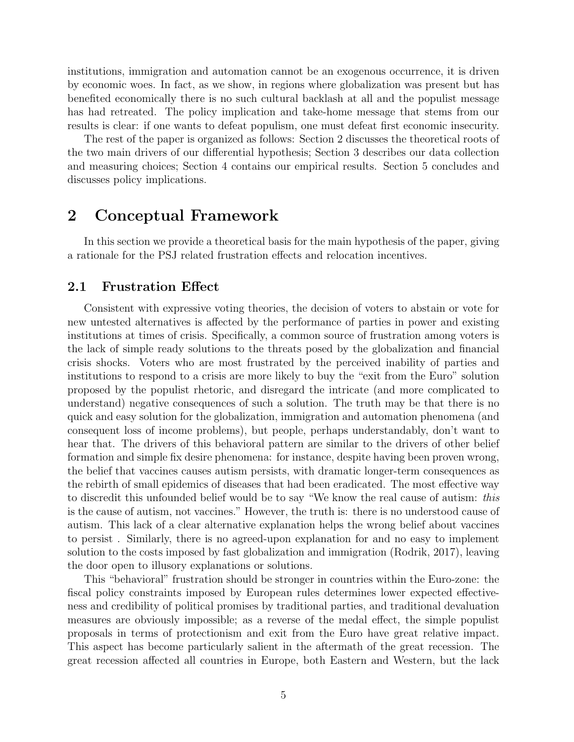institutions, immigration and automation cannot be an exogenous occurrence, it is driven by economic woes. In fact, as we show, in regions where globalization was present but has benefited economically there is no such cultural backlash at all and the populist message has had retreated. The policy implication and take-home message that stems from our results is clear: if one wants to defeat populism, one must defeat first economic insecurity.

The rest of the paper is organized as follows: Section 2 discusses the theoretical roots of the two main drivers of our differential hypothesis; Section 3 describes our data collection and measuring choices; Section 4 contains our empirical results. Section 5 concludes and discusses policy implications.

## 2 Conceptual Framework

In this section we provide a theoretical basis for the main hypothesis of the paper, giving a rationale for the PSJ related frustration effects and relocation incentives.

#### 2.1 Frustration Effect

Consistent with expressive voting theories, the decision of voters to abstain or vote for new untested alternatives is affected by the performance of parties in power and existing institutions at times of crisis. Specifically, a common source of frustration among voters is the lack of simple ready solutions to the threats posed by the globalization and financial crisis shocks. Voters who are most frustrated by the perceived inability of parties and institutions to respond to a crisis are more likely to buy the "exit from the Euro" solution proposed by the populist rhetoric, and disregard the intricate (and more complicated to understand) negative consequences of such a solution. The truth may be that there is no quick and easy solution for the globalization, immigration and automation phenomena (and consequent loss of income problems), but people, perhaps understandably, don't want to hear that. The drivers of this behavioral pattern are similar to the drivers of other belief formation and simple fix desire phenomena: for instance, despite having been proven wrong, the belief that vaccines causes autism persists, with dramatic longer-term consequences as the rebirth of small epidemics of diseases that had been eradicated. The most effective way to discredit this unfounded belief would be to say "We know the real cause of autism: this is the cause of autism, not vaccines." However, the truth is: there is no understood cause of autism. This lack of a clear alternative explanation helps the wrong belief about vaccines to persist . Similarly, there is no agreed-upon explanation for and no easy to implement solution to the costs imposed by fast globalization and immigration (Rodrik, 2017), leaving the door open to illusory explanations or solutions.

This "behavioral" frustration should be stronger in countries within the Euro-zone: the fiscal policy constraints imposed by European rules determines lower expected effectiveness and credibility of political promises by traditional parties, and traditional devaluation measures are obviously impossible; as a reverse of the medal effect, the simple populist proposals in terms of protectionism and exit from the Euro have great relative impact. This aspect has become particularly salient in the aftermath of the great recession. The great recession affected all countries in Europe, both Eastern and Western, but the lack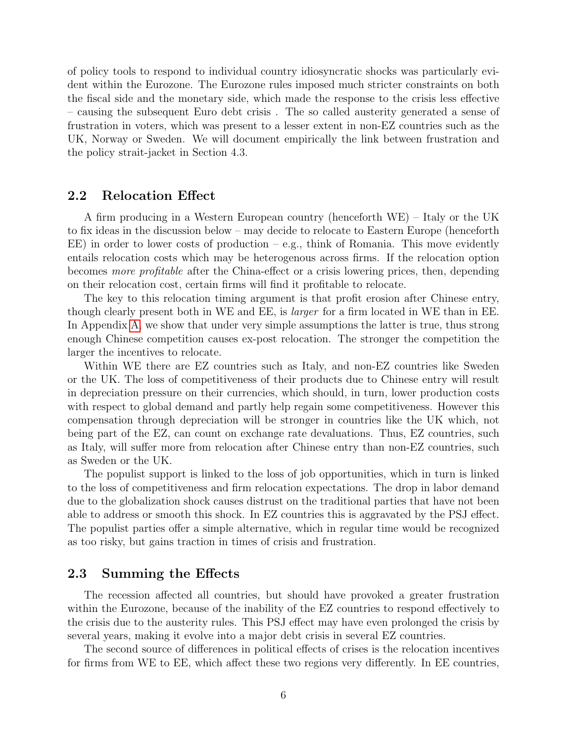of policy tools to respond to individual country idiosyncratic shocks was particularly evident within the Eurozone. The Eurozone rules imposed much stricter constraints on both the fiscal side and the monetary side, which made the response to the crisis less effective – causing the subsequent Euro debt crisis . The so called austerity generated a sense of frustration in voters, which was present to a lesser extent in non-EZ countries such as the UK, Norway or Sweden. We will document empirically the link between frustration and the policy strait-jacket in Section 4.3.

#### 2.2 Relocation Effect

A firm producing in a Western European country (henceforth WE) – Italy or the UK to fix ideas in the discussion below – may decide to relocate to Eastern Europe (henceforth EE) in order to lower costs of production  $-e.g.,$  think of Romania. This move evidently entails relocation costs which may be heterogenous across firms. If the relocation option becomes more profitable after the China-effect or a crisis lowering prices, then, depending on their relocation cost, certain firms will find it profitable to relocate.

The key to this relocation timing argument is that profit erosion after Chinese entry, though clearly present both in WE and EE, is larger for a firm located in WE than in EE. In Appendix [A,](#page-37-0) we show that under very simple assumptions the latter is true, thus strong enough Chinese competition causes ex-post relocation. The stronger the competition the larger the incentives to relocate.

Within WE there are EZ countries such as Italy, and non-EZ countries like Sweden or the UK. The loss of competitiveness of their products due to Chinese entry will result in depreciation pressure on their currencies, which should, in turn, lower production costs with respect to global demand and partly help regain some competitiveness. However this compensation through depreciation will be stronger in countries like the UK which, not being part of the EZ, can count on exchange rate devaluations. Thus, EZ countries, such as Italy, will suffer more from relocation after Chinese entry than non-EZ countries, such as Sweden or the UK.

The populist support is linked to the loss of job opportunities, which in turn is linked to the loss of competitiveness and firm relocation expectations. The drop in labor demand due to the globalization shock causes distrust on the traditional parties that have not been able to address or smooth this shock. In EZ countries this is aggravated by the PSJ effect. The populist parties offer a simple alternative, which in regular time would be recognized as too risky, but gains traction in times of crisis and frustration.

#### 2.3 Summing the Effects

The recession affected all countries, but should have provoked a greater frustration within the Eurozone, because of the inability of the EZ countries to respond effectively to the crisis due to the austerity rules. This PSJ effect may have even prolonged the crisis by several years, making it evolve into a major debt crisis in several EZ countries.

The second source of differences in political effects of crises is the relocation incentives for firms from WE to EE, which affect these two regions very differently. In EE countries,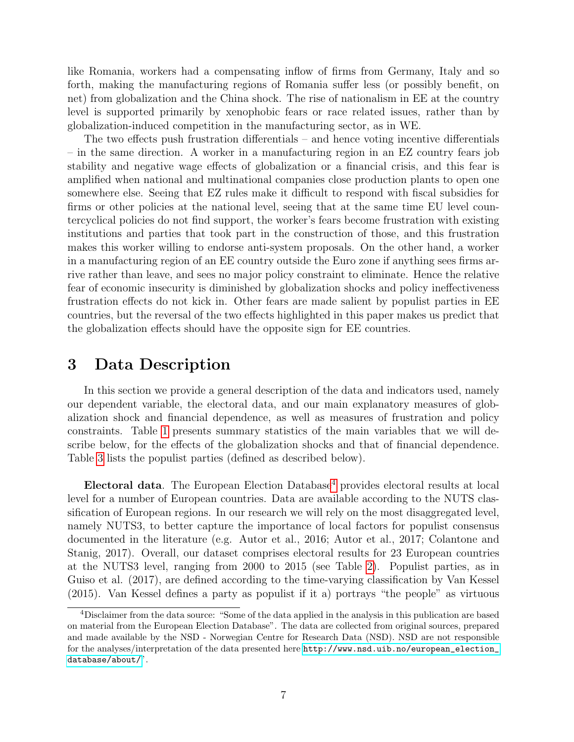like Romania, workers had a compensating inflow of firms from Germany, Italy and so forth, making the manufacturing regions of Romania suffer less (or possibly benefit, on net) from globalization and the China shock. The rise of nationalism in EE at the country level is supported primarily by xenophobic fears or race related issues, rather than by globalization-induced competition in the manufacturing sector, as in WE.

The two effects push frustration differentials – and hence voting incentive differentials – in the same direction. A worker in a manufacturing region in an EZ country fears job stability and negative wage effects of globalization or a financial crisis, and this fear is amplified when national and multinational companies close production plants to open one somewhere else. Seeing that EZ rules make it difficult to respond with fiscal subsidies for firms or other policies at the national level, seeing that at the same time EU level countercyclical policies do not find support, the worker's fears become frustration with existing institutions and parties that took part in the construction of those, and this frustration makes this worker willing to endorse anti-system proposals. On the other hand, a worker in a manufacturing region of an EE country outside the Euro zone if anything sees firms arrive rather than leave, and sees no major policy constraint to eliminate. Hence the relative fear of economic insecurity is diminished by globalization shocks and policy ineffectiveness frustration effects do not kick in. Other fears are made salient by populist parties in EE countries, but the reversal of the two effects highlighted in this paper makes us predict that the globalization effects should have the opposite sign for EE countries.

### <span id="page-7-0"></span>3 Data Description

In this section we provide a general description of the data and indicators used, namely our dependent variable, the electoral data, and our main explanatory measures of globalization shock and financial dependence, as well as measures of frustration and policy constraints. Table [1](#page-22-0) presents summary statistics of the main variables that we will describe below, for the effects of the globalization shocks and that of financial dependence. Table [3](#page-24-0) lists the populist parties (defined as described below).

Electoral data. The European Election Database<sup>[4](#page-1-0)</sup> provides electoral results at local level for a number of European countries. Data are available according to the NUTS classification of European regions. In our research we will rely on the most disaggregated level, namely NUTS3, to better capture the importance of local factors for populist consensus documented in the literature (e.g. Autor et al., 2016; Autor et al., 2017; Colantone and Stanig, 2017). Overall, our dataset comprises electoral results for 23 European countries at the NUTS3 level, ranging from 2000 to 2015 (see Table [2\)](#page-23-0). Populist parties, as in Guiso et al. (2017), are defined according to the time-varying classification by Van Kessel (2015). Van Kessel defines a party as populist if it a) portrays "the people" as virtuous

<sup>4</sup>Disclaimer from the data source: "Some of the data applied in the analysis in this publication are based on material from the European Election Database". The data are collected from original sources, prepared and made available by the NSD - Norwegian Centre for Research Data (NSD). NSD are not responsible for the analyses/interpretation of the data presented here [http://www.nsd.uib.no/european\\_election\\_](http://www.nsd.uib.no/european_election_database/about/) [database/about/](http://www.nsd.uib.no/european_election_database/about/)".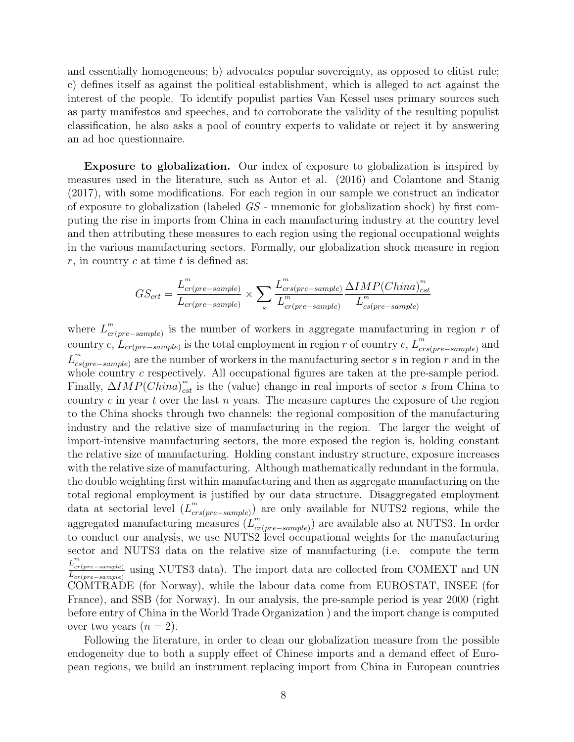and essentially homogeneous; b) advocates popular sovereignty, as opposed to elitist rule; c) defines itself as against the political establishment, which is alleged to act against the interest of the people. To identify populist parties Van Kessel uses primary sources such as party manifestos and speeches, and to corroborate the validity of the resulting populist classification, he also asks a pool of country experts to validate or reject it by answering an ad hoc questionnaire.

Exposure to globalization. Our index of exposure to globalization is inspired by measures used in the literature, such as Autor et al. (2016) and Colantone and Stanig (2017), with some modifications. For each region in our sample we construct an indicator of exposure to globalization (labeled GS - mnemonic for globalization shock) by first computing the rise in imports from China in each manufacturing industry at the country level and then attributing these measures to each region using the regional occupational weights in the various manufacturing sectors. Formally, our globalization shock measure in region  $r$ , in country c at time t is defined as:

$$
GS_{crt} = \frac{L_{cr(pre-sample)}^m}{L_{cr(pre-sample)}} \times \sum_{s} \frac{L_{crs(pre-sample)}^m}{L_{cr(pre-sample)}^m} \frac{\Delta IMP(China)_{cst}^m}{L_{cs(pre-sample)}^m}
$$

where  $L_{cr}^m$  $c_{cr(pre-sample)}^{m}$  is the number of workers in aggregate manufacturing in region r of country c,  $L_{cr(pre-sample)}$  is the total employment in region r of country c,  $L_{cr}^{m}$  $_{crs(pre-sample)}^{m}$  and  $L_{cs}^m$  $\mathcal{L}_{cs(pre-sample)}^{m}$  are the number of workers in the manufacturing sector s in region r and in the whole country c respectively. All occupational figures are taken at the pre-sample period. Finally,  $\Delta IMP(China)_{cst}^m$  is the (value) change in real imports of sector s from China to country c in year t over the last n years. The measure captures the exposure of the region to the China shocks through two channels: the regional composition of the manufacturing industry and the relative size of manufacturing in the region. The larger the weight of import-intensive manufacturing sectors, the more exposed the region is, holding constant the relative size of manufacturing. Holding constant industry structure, exposure increases with the relative size of manufacturing. Although mathematically redundant in the formula, the double weighting first within manufacturing and then as aggregate manufacturing on the total regional employment is justified by our data structure. Disaggregated employment data at sectorial level  $(L_{cr}^m)$ <sup>*m*</sup><sub>crs(pre–sample)</sub>) are only available for NUTS2 regions, while the aggregated manufacturing measures  $(L_{cr}^m)$  $c_{cr(pre-sample)}^{m}$  are available also at NUTS3. In order to conduct our analysis, we use NUTS2 level occupational weights for the manufacturing sector and NUTS3 data on the relative size of manufacturing (i.e. compute the term  $L_{cr}^m$  $\frac{L_{cr(pre-sample)}}{L_{cr(pre-sample)}}$  using NUTS3 data). The import data are collected from COMEXT and UN COMTRADE (for Norway), while the labour data come from EUROSTAT, INSEE (for France), and SSB (for Norway). In our analysis, the pre-sample period is year 2000 (right before entry of China in the World Trade Organization ) and the import change is computed over two years  $(n = 2)$ .

Following the literature, in order to clean our globalization measure from the possible endogeneity due to both a supply effect of Chinese imports and a demand effect of European regions, we build an instrument replacing import from China in European countries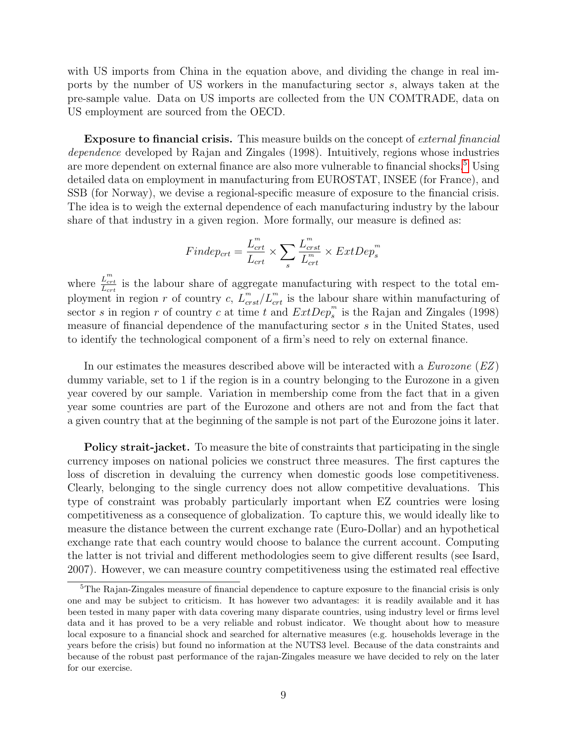with US imports from China in the equation above, and dividing the change in real imports by the number of US workers in the manufacturing sector s, always taken at the pre-sample value. Data on US imports are collected from the UN COMTRADE, data on US employment are sourced from the OECD.

**Exposure to financial crisis.** This measure builds on the concept of *external financial* dependence developed by Rajan and Zingales (1998). Intuitively, regions whose industries are more dependent on external finance are also more vulnerable to financial shocks.<sup>[5](#page-1-0)</sup> Using detailed data on employment in manufacturing from EUROSTAT, INSEE (for France), and SSB (for Norway), we devise a regional-specific measure of exposure to the financial crisis. The idea is to weigh the external dependence of each manufacturing industry by the labour share of that industry in a given region. More formally, our measure is defined as:

$$
Findep_{crt} = \frac{L_{crt}^{m}}{L_{crt}} \times \sum_{s} \frac{L_{crst}^{m}}{L_{crt}^{m}} \times ExtDep_s^{m}
$$

where  $\frac{L_{crt}^{m}}{L_{crt}}$  is the labour share of aggregate manufacturing with respect to the total employment in region r of country c,  $L_{crst}^m/L_{crt}^m$  is the labour share within manufacturing of sector s in region r of country c at time t and  $ExtDep_s^m$  is the Rajan and Zingales (1998) measure of financial dependence of the manufacturing sector s in the United States, used to identify the technological component of a firm's need to rely on external finance.

In our estimates the measures described above will be interacted with a  $Eurozone(EZ)$ dummy variable, set to 1 if the region is in a country belonging to the Eurozone in a given year covered by our sample. Variation in membership come from the fact that in a given year some countries are part of the Eurozone and others are not and from the fact that a given country that at the beginning of the sample is not part of the Eurozone joins it later.

**Policy strait-jacket.** To measure the bite of constraints that participating in the single currency imposes on national policies we construct three measures. The first captures the loss of discretion in devaluing the currency when domestic goods lose competitiveness. Clearly, belonging to the single currency does not allow competitive devaluations. This type of constraint was probably particularly important when EZ countries were losing competitiveness as a consequence of globalization. To capture this, we would ideally like to measure the distance between the current exchange rate (Euro-Dollar) and an hypothetical exchange rate that each country would choose to balance the current account. Computing the latter is not trivial and different methodologies seem to give different results (see Isard, 2007). However, we can measure country competitiveness using the estimated real effective

<sup>&</sup>lt;sup>5</sup>The Rajan-Zingales measure of financial dependence to capture exposure to the financial crisis is only one and may be subject to criticism. It has however two advantages: it is readily available and it has been tested in many paper with data covering many disparate countries, using industry level or firms level data and it has proved to be a very reliable and robust indicator. We thought about how to measure local exposure to a financial shock and searched for alternative measures (e.g. households leverage in the years before the crisis) but found no information at the NUTS3 level. Because of the data constraints and because of the robust past performance of the rajan-Zingales measure we have decided to rely on the later for our exercise.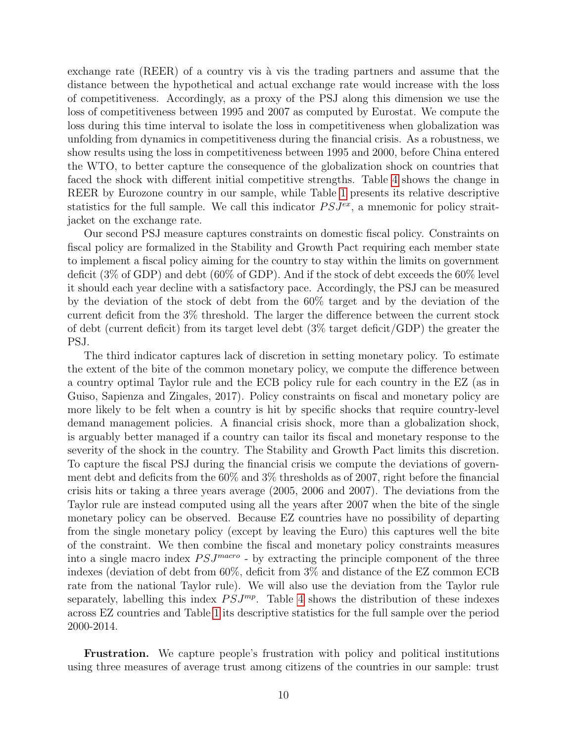exchange rate (REER) of a country vis à vis the trading partners and assume that the distance between the hypothetical and actual exchange rate would increase with the loss of competitiveness. Accordingly, as a proxy of the PSJ along this dimension we use the loss of competitiveness between 1995 and 2007 as computed by Eurostat. We compute the loss during this time interval to isolate the loss in competitiveness when globalization was unfolding from dynamics in competitiveness during the financial crisis. As a robustness, we show results using the loss in competitiveness between 1995 and 2000, before China entered the WTO, to better capture the consequence of the globalization shock on countries that faced the shock with different initial competitive strengths. Table [4](#page-25-0) shows the change in REER by Eurozone country in our sample, while Table [1](#page-22-0) presents its relative descriptive statistics for the full sample. We call this indicator  $PSJ^{ex}$ , a mnemonic for policy straitjacket on the exchange rate.

Our second PSJ measure captures constraints on domestic fiscal policy. Constraints on fiscal policy are formalized in the Stability and Growth Pact requiring each member state to implement a fiscal policy aiming for the country to stay within the limits on government deficit (3% of GDP) and debt (60% of GDP). And if the stock of debt exceeds the 60% level it should each year decline with a satisfactory pace. Accordingly, the PSJ can be measured by the deviation of the stock of debt from the 60% target and by the deviation of the current deficit from the 3% threshold. The larger the difference between the current stock of debt (current deficit) from its target level debt (3% target deficit/GDP) the greater the PSJ.

The third indicator captures lack of discretion in setting monetary policy. To estimate the extent of the bite of the common monetary policy, we compute the difference between a country optimal Taylor rule and the ECB policy rule for each country in the EZ (as in Guiso, Sapienza and Zingales, 2017). Policy constraints on fiscal and monetary policy are more likely to be felt when a country is hit by specific shocks that require country-level demand management policies. A financial crisis shock, more than a globalization shock, is arguably better managed if a country can tailor its fiscal and monetary response to the severity of the shock in the country. The Stability and Growth Pact limits this discretion. To capture the fiscal PSJ during the financial crisis we compute the deviations of government debt and deficits from the 60% and 3% thresholds as of 2007, right before the financial crisis hits or taking a three years average (2005, 2006 and 2007). The deviations from the Taylor rule are instead computed using all the years after 2007 when the bite of the single monetary policy can be observed. Because EZ countries have no possibility of departing from the single monetary policy (except by leaving the Euro) this captures well the bite of the constraint. We then combine the fiscal and monetary policy constraints measures into a single macro index  $PSJ<sup>macro</sup>$  - by extracting the principle component of the three indexes (deviation of debt from 60%, deficit from 3% and distance of the EZ common ECB rate from the national Taylor rule). We will also use the deviation from the Taylor rule separately, labelling this index  $PSJ^{mp}$ . Table [4](#page-25-0) shows the distribution of these indexes across EZ countries and Table [1](#page-22-0) its descriptive statistics for the full sample over the period 2000-2014.

Frustration. We capture people's frustration with policy and political institutions using three measures of average trust among citizens of the countries in our sample: trust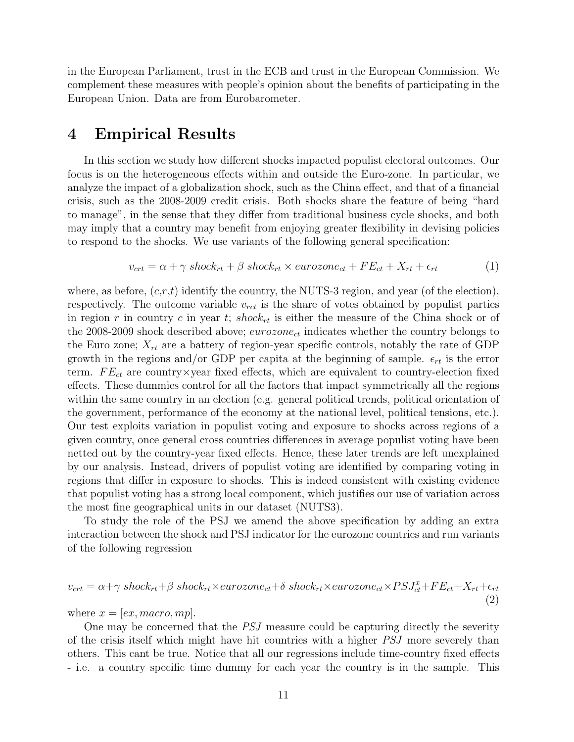in the European Parliament, trust in the ECB and trust in the European Commission. We complement these measures with people's opinion about the benefits of participating in the European Union. Data are from Eurobarometer.

### 4 Empirical Results

In this section we study how different shocks impacted populist electoral outcomes. Our focus is on the heterogeneous effects within and outside the Euro-zone. In particular, we analyze the impact of a globalization shock, such as the China effect, and that of a financial crisis, such as the 2008-2009 credit crisis. Both shocks share the feature of being "hard to manage", in the sense that they differ from traditional business cycle shocks, and both may imply that a country may benefit from enjoying greater flexibility in devising policies to respond to the shocks. We use variants of the following general specification:

<span id="page-11-0"></span>
$$
v_{crt} = \alpha + \gamma \; shock_{rt} + \beta \; shock_{rt} \times eurozone_{ct} + FE_{ct} + X_{rt} + \epsilon_{rt}
$$
 (1)

where, as before,  $(c,r,t)$  identify the country, the NUTS-3 region, and year (of the election), respectively. The outcome variable  $v_{rct}$  is the share of votes obtained by populist parties in region r in country c in year t; shock<sub>rt</sub> is either the measure of the China shock or of the 2008-2009 shock described above;  $\epsilon u$ rozon $e_{ct}$  indicates whether the country belongs to the Euro zone;  $X_{rt}$  are a battery of region-year specific controls, notably the rate of GDP growth in the regions and/or GDP per capita at the beginning of sample.  $\epsilon_{rt}$  is the error term.  $FE_{ct}$  are country×year fixed effects, which are equivalent to country-election fixed effects. These dummies control for all the factors that impact symmetrically all the regions within the same country in an election (e.g. general political trends, political orientation of the government, performance of the economy at the national level, political tensions, etc.). Our test exploits variation in populist voting and exposure to shocks across regions of a given country, once general cross countries differences in average populist voting have been netted out by the country-year fixed effects. Hence, these later trends are left unexplained by our analysis. Instead, drivers of populist voting are identified by comparing voting in regions that differ in exposure to shocks. This is indeed consistent with existing evidence that populist voting has a strong local component, which justifies our use of variation across the most fine geographical units in our dataset (NUTS3).

To study the role of the PSJ we amend the above specification by adding an extra interaction between the shock and PSJ indicator for the eurozone countries and run variants of the following regression

$$
v_{crt} = \alpha + \gamma \; shock_{rt} + \beta \; shock_{rt} \times eurozone_{ct} + \delta \; shock_{rt} \times eurozone_{ct} \times PSJ_{ct}^{x} + FE_{ct} + X_{rt} + \epsilon_{rt}
$$
\n
$$
\tag{2}
$$

where  $x = [ex, macro, mp]$ .

One may be concerned that the *PSJ* measure could be capturing directly the severity of the crisis itself which might have hit countries with a higher PSJ more severely than others. This cant be true. Notice that all our regressions include time-country fixed effects - i.e. a country specific time dummy for each year the country is in the sample. This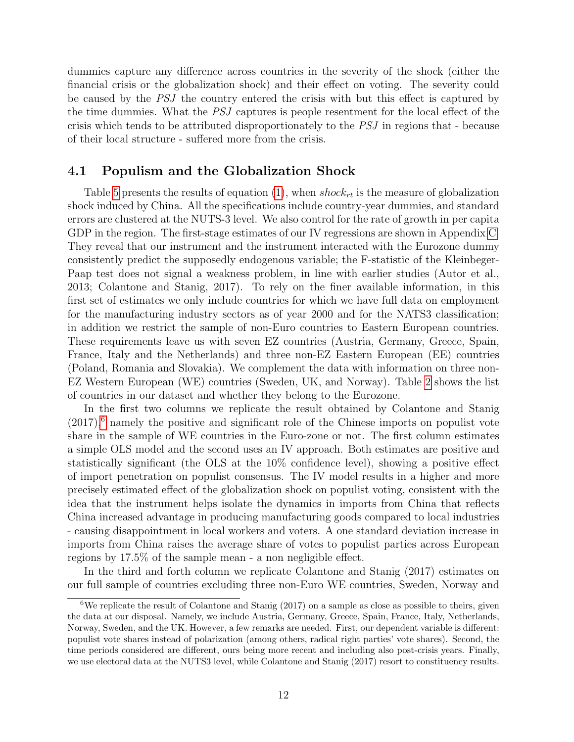dummies capture any difference across countries in the severity of the shock (either the financial crisis or the globalization shock) and their effect on voting. The severity could be caused by the PSJ the country entered the crisis with but this effect is captured by the time dummies. What the PSJ captures is people resentment for the local effect of the crisis which tends to be attributed disproportionately to the PSJ in regions that - because of their local structure - suffered more from the crisis.

#### 4.1 Populism and the Globalization Shock

Table [5](#page-26-0) presents the results of equation [\(1\)](#page-11-0), when shock<sub>rt</sub> is the measure of globalization shock induced by China. All the specifications include country-year dummies, and standard errors are clustered at the NUTS-3 level. We also control for the rate of growth in per capita GDP in the region. The first-stage estimates of our IV regressions are shown in Appendix [C.](#page-40-0) They reveal that our instrument and the instrument interacted with the Eurozone dummy consistently predict the supposedly endogenous variable; the F-statistic of the Kleinbeger-Paap test does not signal a weakness problem, in line with earlier studies (Autor et al., 2013; Colantone and Stanig, 2017). To rely on the finer available information, in this first set of estimates we only include countries for which we have full data on employment for the manufacturing industry sectors as of year 2000 and for the NATS3 classification; in addition we restrict the sample of non-Euro countries to Eastern European countries. These requirements leave us with seven EZ countries (Austria, Germany, Greece, Spain, France, Italy and the Netherlands) and three non-EZ Eastern European (EE) countries (Poland, Romania and Slovakia). We complement the data with information on three non-EZ Western European (WE) countries (Sweden, UK, and Norway). Table [2](#page-23-0) shows the list of countries in our dataset and whether they belong to the Eurozone.

In the first two columns we replicate the result obtained by Colantone and Stanig  $(2017)$ <sup>[6](#page-1-0)</sup> namely the positive and significant role of the Chinese imports on populist vote share in the sample of WE countries in the Euro-zone or not. The first column estimates a simple OLS model and the second uses an IV approach. Both estimates are positive and statistically significant (the OLS at the 10% confidence level), showing a positive effect of import penetration on populist consensus. The IV model results in a higher and more precisely estimated effect of the globalization shock on populist voting, consistent with the idea that the instrument helps isolate the dynamics in imports from China that reflects China increased advantage in producing manufacturing goods compared to local industries - causing disappointment in local workers and voters. A one standard deviation increase in imports from China raises the average share of votes to populist parties across European regions by 17.5% of the sample mean - a non negligible effect.

In the third and forth column we replicate Colantone and Stanig (2017) estimates on our full sample of countries excluding three non-Euro WE countries, Sweden, Norway and

<sup>&</sup>lt;sup>6</sup>We replicate the result of Colantone and Stanig (2017) on a sample as close as possible to theirs, given the data at our disposal. Namely, we include Austria, Germany, Greece, Spain, France, Italy, Netherlands, Norway, Sweden, and the UK. However, a few remarks are needed. First, our dependent variable is different: populist vote shares instead of polarization (among others, radical right parties' vote shares). Second, the time periods considered are different, ours being more recent and including also post-crisis years. Finally, we use electoral data at the NUTS3 level, while Colantone and Stanig (2017) resort to constituency results.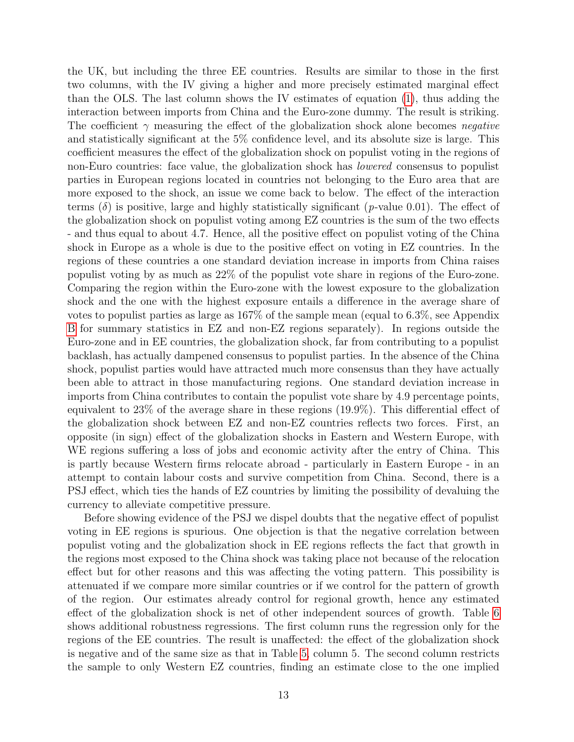the UK, but including the three EE countries. Results are similar to those in the first two columns, with the IV giving a higher and more precisely estimated marginal effect than the OLS. The last column shows the IV estimates of equation [\(1\)](#page-11-0), thus adding the interaction between imports from China and the Euro-zone dummy. The result is striking. The coefficient  $\gamma$  measuring the effect of the globalization shock alone becomes negative and statistically significant at the 5% confidence level, and its absolute size is large. This coefficient measures the effect of the globalization shock on populist voting in the regions of non-Euro countries: face value, the globalization shock has lowered consensus to populist parties in European regions located in countries not belonging to the Euro area that are more exposed to the shock, an issue we come back to below. The effect of the interaction terms ( $\delta$ ) is positive, large and highly statistically significant (*p*-value 0.01). The effect of the globalization shock on populist voting among EZ countries is the sum of the two effects - and thus equal to about 4.7. Hence, all the positive effect on populist voting of the China shock in Europe as a whole is due to the positive effect on voting in EZ countries. In the regions of these countries a one standard deviation increase in imports from China raises populist voting by as much as 22% of the populist vote share in regions of the Euro-zone. Comparing the region within the Euro-zone with the lowest exposure to the globalization shock and the one with the highest exposure entails a difference in the average share of votes to populist parties as large as 167% of the sample mean (equal to 6.3%, see Appendix [B](#page-39-0) for summary statistics in EZ and non-EZ regions separately). In regions outside the Euro-zone and in EE countries, the globalization shock, far from contributing to a populist backlash, has actually dampened consensus to populist parties. In the absence of the China shock, populist parties would have attracted much more consensus than they have actually been able to attract in those manufacturing regions. One standard deviation increase in imports from China contributes to contain the populist vote share by 4.9 percentage points, equivalent to 23% of the average share in these regions (19.9%). This differential effect of the globalization shock between EZ and non-EZ countries reflects two forces. First, an opposite (in sign) effect of the globalization shocks in Eastern and Western Europe, with WE regions suffering a loss of jobs and economic activity after the entry of China. This is partly because Western firms relocate abroad - particularly in Eastern Europe - in an attempt to contain labour costs and survive competition from China. Second, there is a PSJ effect, which ties the hands of EZ countries by limiting the possibility of devaluing the currency to alleviate competitive pressure.

Before showing evidence of the PSJ we dispel doubts that the negative effect of populist voting in EE regions is spurious. One objection is that the negative correlation between populist voting and the globalization shock in EE regions reflects the fact that growth in the regions most exposed to the China shock was taking place not because of the relocation effect but for other reasons and this was affecting the voting pattern. This possibility is attenuated if we compare more similar countries or if we control for the pattern of growth of the region. Our estimates already control for regional growth, hence any estimated effect of the globalization shock is net of other independent sources of growth. Table [6](#page-26-1) shows additional robustness regressions. The first column runs the regression only for the regions of the EE countries. The result is unaffected: the effect of the globalization shock is negative and of the same size as that in Table [5,](#page-26-0) column 5. The second column restricts the sample to only Western EZ countries, finding an estimate close to the one implied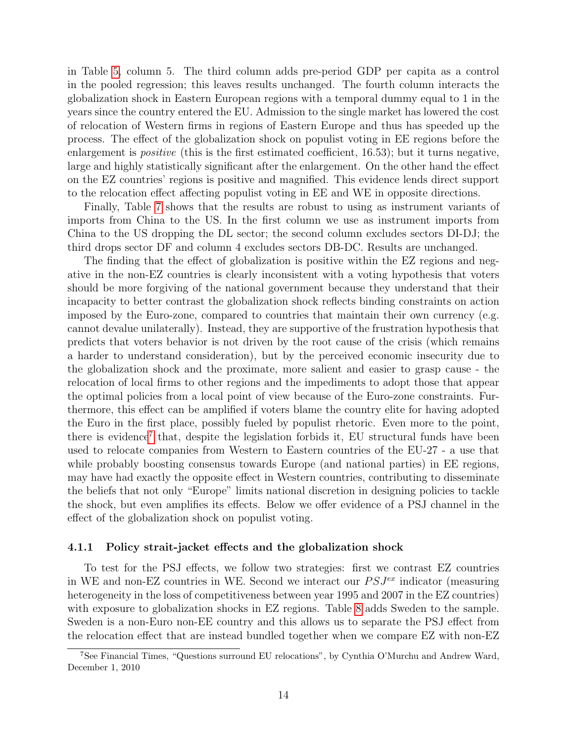in Table [5,](#page-26-0) column 5. The third column adds pre-period GDP per capita as a control in the pooled regression; this leaves results unchanged. The fourth column interacts the globalization shock in Eastern European regions with a temporal dummy equal to 1 in the years since the country entered the EU. Admission to the single market has lowered the cost of relocation of Western firms in regions of Eastern Europe and thus has speeded up the process. The effect of the globalization shock on populist voting in EE regions before the enlargement is *positive* (this is the first estimated coefficient, 16.53); but it turns negative, large and highly statistically significant after the enlargement. On the other hand the effect on the EZ countries' regions is positive and magnified. This evidence lends direct support to the relocation effect affecting populist voting in EE and WE in opposite directions.

Finally, Table [7](#page-27-0) shows that the results are robust to using as instrument variants of imports from China to the US. In the first column we use as instrument imports from China to the US dropping the DL sector; the second column excludes sectors DI-DJ; the third drops sector DF and column 4 excludes sectors DB-DC. Results are unchanged.

The finding that the effect of globalization is positive within the EZ regions and negative in the non-EZ countries is clearly inconsistent with a voting hypothesis that voters should be more forgiving of the national government because they understand that their incapacity to better contrast the globalization shock reflects binding constraints on action imposed by the Euro-zone, compared to countries that maintain their own currency (e.g. cannot devalue unilaterally). Instead, they are supportive of the frustration hypothesis that predicts that voters behavior is not driven by the root cause of the crisis (which remains a harder to understand consideration), but by the perceived economic insecurity due to the globalization shock and the proximate, more salient and easier to grasp cause - the relocation of local firms to other regions and the impediments to adopt those that appear the optimal policies from a local point of view because of the Euro-zone constraints. Furthermore, this effect can be amplified if voters blame the country elite for having adopted the Euro in the first place, possibly fueled by populist rhetoric. Even more to the point, there is evidence<sup>[7](#page-1-0)</sup> that, despite the legislation forbids it, EU structural funds have been used to relocate companies from Western to Eastern countries of the EU-27 - a use that while probably boosting consensus towards Europe (and national parties) in EE regions, may have had exactly the opposite effect in Western countries, contributing to disseminate the beliefs that not only "Europe" limits national discretion in designing policies to tackle the shock, but even amplifies its effects. Below we offer evidence of a PSJ channel in the effect of the globalization shock on populist voting.

#### 4.1.1 Policy strait-jacket effects and the globalization shock

To test for the PSJ effects, we follow two strategies: first we contrast EZ countries in WE and non-EZ countries in WE. Second we interact our  $PSJ<sup>ex</sup>$  indicator (measuring heterogeneity in the loss of competitiveness between year 1995 and 2007 in the EZ countries) with exposure to globalization shocks in EZ regions. Table [8](#page-28-0) adds Sweden to the sample. Sweden is a non-Euro non-EE country and this allows us to separate the PSJ effect from the relocation effect that are instead bundled together when we compare EZ with non-EZ

<sup>7</sup>See Financial Times, "Questions surround EU relocations", by Cynthia O'Murchu and Andrew Ward, December 1, 2010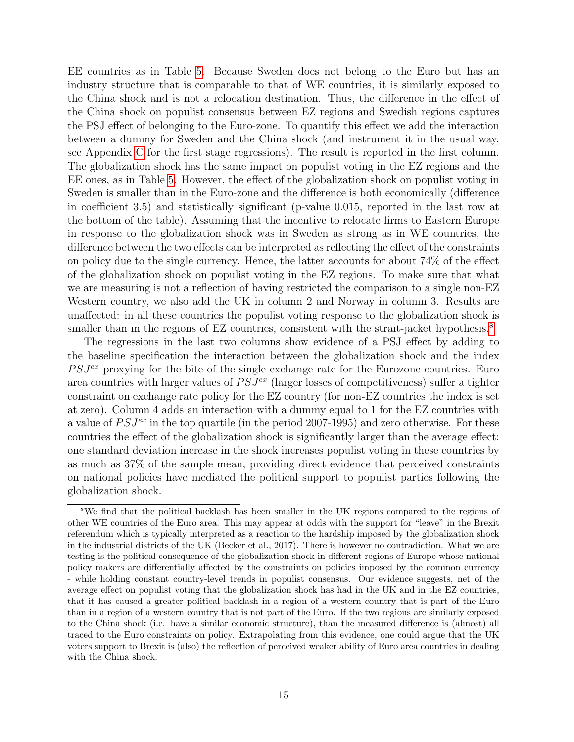EE countries as in Table [5.](#page-26-0) Because Sweden does not belong to the Euro but has an industry structure that is comparable to that of WE countries, it is similarly exposed to the China shock and is not a relocation destination. Thus, the difference in the effect of the China shock on populist consensus between EZ regions and Swedish regions captures the PSJ effect of belonging to the Euro-zone. To quantify this effect we add the interaction between a dummy for Sweden and the China shock (and instrument it in the usual way, see Appendix [C](#page-40-0) for the first stage regressions). The result is reported in the first column. The globalization shock has the same impact on populist voting in the EZ regions and the EE ones, as in Table [5.](#page-26-0) However, the effect of the globalization shock on populist voting in Sweden is smaller than in the Euro-zone and the difference is both economically (difference in coefficient 3.5) and statistically significant (p-value 0.015, reported in the last row at the bottom of the table). Assuming that the incentive to relocate firms to Eastern Europe in response to the globalization shock was in Sweden as strong as in WE countries, the difference between the two effects can be interpreted as reflecting the effect of the constraints on policy due to the single currency. Hence, the latter accounts for about 74% of the effect of the globalization shock on populist voting in the EZ regions. To make sure that what we are measuring is not a reflection of having restricted the comparison to a single non-EZ Western country, we also add the UK in column 2 and Norway in column 3. Results are unaffected: in all these countries the populist voting response to the globalization shock is smaller than in the regions of EZ countries, consistent with the strait-jacket hypothesis.<sup>[8](#page-1-0)</sup>

The regressions in the last two columns show evidence of a PSJ effect by adding to the baseline specification the interaction between the globalization shock and the index  $PSJ<sup>ex</sup>$  proxying for the bite of the single exchange rate for the Eurozone countries. Euro area countries with larger values of  $PSJ<sup>ex</sup>$  (larger losses of competitiveness) suffer a tighter constraint on exchange rate policy for the EZ country (for non-EZ countries the index is set at zero). Column 4 adds an interaction with a dummy equal to 1 for the EZ countries with a value of  $PSJ<sup>ex</sup>$  in the top quartile (in the period 2007-1995) and zero otherwise. For these countries the effect of the globalization shock is significantly larger than the average effect: one standard deviation increase in the shock increases populist voting in these countries by as much as 37% of the sample mean, providing direct evidence that perceived constraints on national policies have mediated the political support to populist parties following the globalization shock.

<sup>&</sup>lt;sup>8</sup>We find that the political backlash has been smaller in the UK regions compared to the regions of other WE countries of the Euro area. This may appear at odds with the support for "leave" in the Brexit referendum which is typically interpreted as a reaction to the hardship imposed by the globalization shock in the industrial districts of the UK (Becker et al., 2017). There is however no contradiction. What we are testing is the political consequence of the globalization shock in different regions of Europe whose national policy makers are differentially affected by the constraints on policies imposed by the common currency - while holding constant country-level trends in populist consensus. Our evidence suggests, net of the average effect on populist voting that the globalization shock has had in the UK and in the EZ countries, that it has caused a greater political backlash in a region of a western country that is part of the Euro than in a region of a western country that is not part of the Euro. If the two regions are similarly exposed to the China shock (i.e. have a similar economic structure), than the measured difference is (almost) all traced to the Euro constraints on policy. Extrapolating from this evidence, one could argue that the UK voters support to Brexit is (also) the reflection of perceived weaker ability of Euro area countries in dealing with the China shock.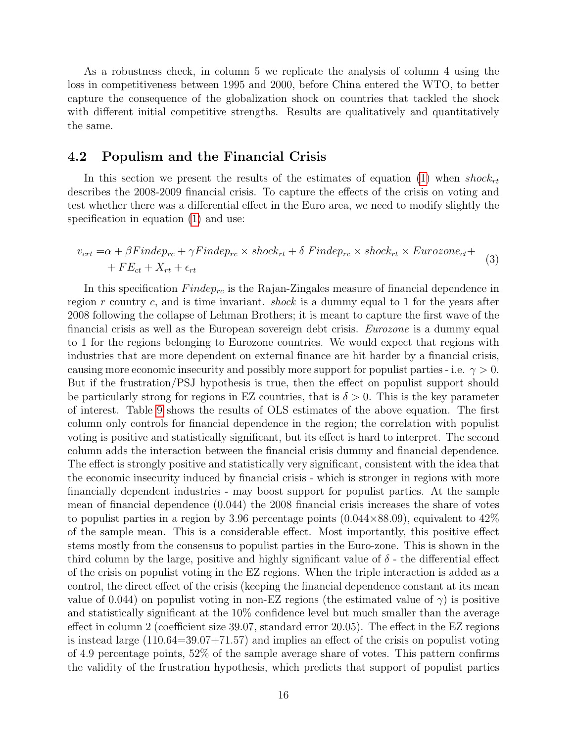As a robustness check, in column 5 we replicate the analysis of column 4 using the loss in competitiveness between 1995 and 2000, before China entered the WTO, to better capture the consequence of the globalization shock on countries that tackled the shock with different initial competitive strengths. Results are qualitatively and quantitatively the same.

#### 4.2 Populism and the Financial Crisis

In this section we present the results of the estimates of equation [\(1\)](#page-11-0) when  $shock_{rt}$ describes the 2008-2009 financial crisis. To capture the effects of the crisis on voting and test whether there was a differential effect in the Euro area, we need to modify slightly the specification in equation [\(1\)](#page-11-0) and use:

$$
v_{crt} = \alpha + \beta Findep_{rc} + \gamma Findep_{rc} \times shock_{rt} + \delta Findep_{rc} \times shock_{rt} \times Eurozone_{ct} ++ FE_{ct} + X_{rt} + \epsilon_{rt}
$$
\n(3)

In this specification  $Findep_{rc}$  is the Rajan-Zingales measure of financial dependence in region r country c, and is time invariant. *shock* is a dummy equal to 1 for the years after 2008 following the collapse of Lehman Brothers; it is meant to capture the first wave of the financial crisis as well as the European sovereign debt crisis. Eurozone is a dummy equal to 1 for the regions belonging to Eurozone countries. We would expect that regions with industries that are more dependent on external finance are hit harder by a financial crisis, causing more economic insecurity and possibly more support for populist parties - i.e.  $\gamma > 0$ . But if the frustration/PSJ hypothesis is true, then the effect on populist support should be particularly strong for regions in EZ countries, that is  $\delta > 0$ . This is the key parameter of interest. Table [9](#page-29-0) shows the results of OLS estimates of the above equation. The first column only controls for financial dependence in the region; the correlation with populist voting is positive and statistically significant, but its effect is hard to interpret. The second column adds the interaction between the financial crisis dummy and financial dependence. The effect is strongly positive and statistically very significant, consistent with the idea that the economic insecurity induced by financial crisis - which is stronger in regions with more financially dependent industries - may boost support for populist parties. At the sample mean of financial dependence (0.044) the 2008 financial crisis increases the share of votes to populist parties in a region by 3.96 percentage points  $(0.044\times88.09)$ , equivalent to  $42\%$ of the sample mean. This is a considerable effect. Most importantly, this positive effect stems mostly from the consensus to populist parties in the Euro-zone. This is shown in the third column by the large, positive and highly significant value of  $\delta$  - the differential effect of the crisis on populist voting in the EZ regions. When the triple interaction is added as a control, the direct effect of the crisis (keeping the financial dependence constant at its mean value of 0.044) on populist voting in non-EZ regions (the estimated value of  $\gamma$ ) is positive and statistically significant at the 10% confidence level but much smaller than the average effect in column 2 (coefficient size 39.07, standard error 20.05). The effect in the EZ regions is instead large  $(110.64=39.07+71.57)$  and implies an effect of the crisis on populist voting of 4.9 percentage points, 52% of the sample average share of votes. This pattern confirms the validity of the frustration hypothesis, which predicts that support of populist parties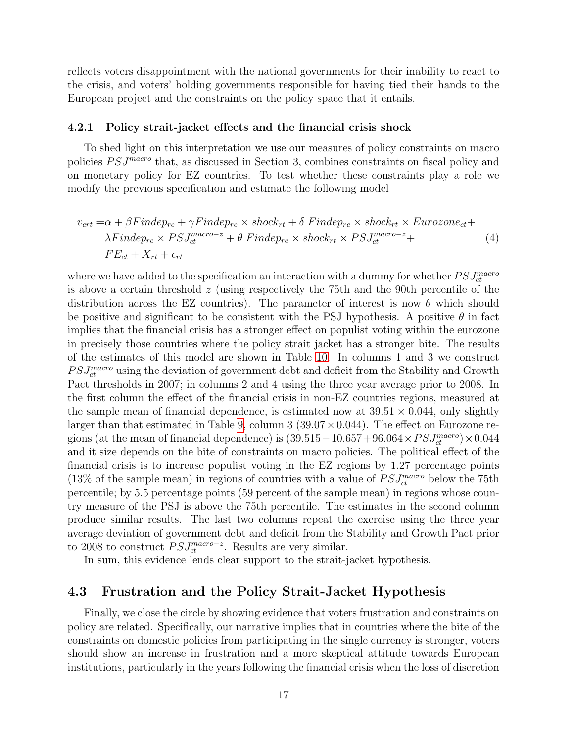reflects voters disappointment with the national governments for their inability to react to the crisis, and voters' holding governments responsible for having tied their hands to the European project and the constraints on the policy space that it entails.

#### 4.2.1 Policy strait-jacket effects and the financial crisis shock

To shed light on this interpretation we use our measures of policy constraints on macro policies  $PSJ<sup>macro</sup>$  that, as discussed in Section 3, combines constraints on fiscal policy and on monetary policy for EZ countries. To test whether these constraints play a role we modify the previous specification and estimate the following model

$$
v_{crt} = \alpha + \beta Findep_{rc} + \gamma Findep_{rc} \times shock_{rt} + \delta Findep_{rc} \times shock_{rt} \times Eurozone_{ct} + \lambda Findep_{rc} \times PSJ_{ct}^{macro-z} + \theta Findep_{rc} \times shock_{rt} \times PSJ_{ct}^{macro-z} + \sum F_{cct} + X_{rt} + \epsilon_{rt}
$$
\n
$$
(4)
$$

where we have added to the specification an interaction with a dummy for whether  $PSJ_{ct}^{macro}$ is above a certain threshold  $z$  (using respectively the 75th and the 90th percentile of the distribution across the EZ countries). The parameter of interest is now  $\theta$  which should be positive and significant to be consistent with the PSJ hypothesis. A positive  $\theta$  in fact implies that the financial crisis has a stronger effect on populist voting within the eurozone in precisely those countries where the policy strait jacket has a stronger bite. The results of the estimates of this model are shown in Table [10.](#page-30-0) In columns 1 and 3 we construct  $PSJ_{ct}^{macro}$  using the deviation of government debt and deficit from the Stability and Growth Pact thresholds in 2007; in columns 2 and 4 using the three year average prior to 2008. In the first column the effect of the financial crisis in non-EZ countries regions, measured at the sample mean of financial dependence, is estimated now at  $39.51 \times 0.044$ , only slightly larger than that estimated in Table [9,](#page-29-0) column  $3(39.07 \times 0.044)$ . The effect on Eurozone regions (at the mean of financial dependence) is  $(39.515-10.657+96.064\times PSJ^{macro}_{ct})\times0.044$ and it size depends on the bite of constraints on macro policies. The political effect of the financial crisis is to increase populist voting in the EZ regions by 1.27 percentage points (13% of the sample mean) in regions of countries with a value of  $PSJ_{ct}^{macro}$  below the 75th percentile; by 5.5 percentage points (59 percent of the sample mean) in regions whose country measure of the PSJ is above the 75th percentile. The estimates in the second column produce similar results. The last two columns repeat the exercise using the three year average deviation of government debt and deficit from the Stability and Growth Pact prior to 2008 to construct  $PSJ_{ct}^{macro-z}$ . Results are very similar.

In sum, this evidence lends clear support to the strait-jacket hypothesis.

#### 4.3 Frustration and the Policy Strait-Jacket Hypothesis

Finally, we close the circle by showing evidence that voters frustration and constraints on policy are related. Specifically, our narrative implies that in countries where the bite of the constraints on domestic policies from participating in the single currency is stronger, voters should show an increase in frustration and a more skeptical attitude towards European institutions, particularly in the years following the financial crisis when the loss of discretion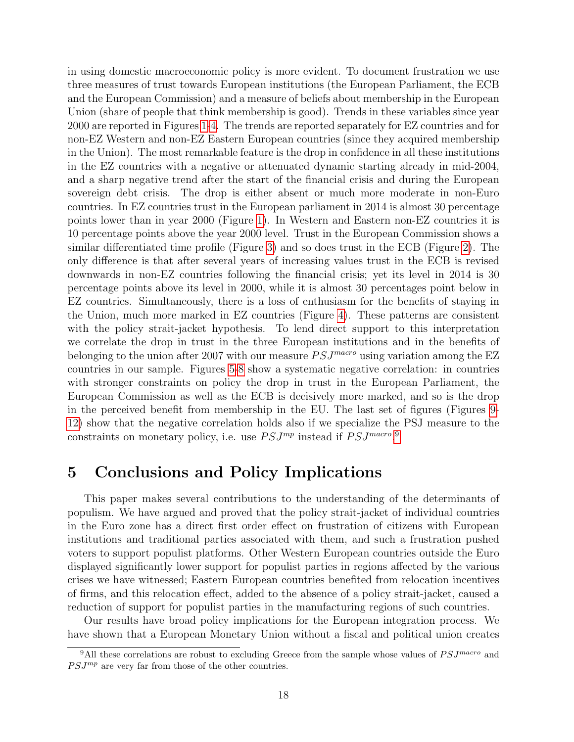in using domestic macroeconomic policy is more evident. To document frustration we use three measures of trust towards European institutions (the European Parliament, the ECB and the European Commission) and a measure of beliefs about membership in the European Union (share of people that think membership is good). Trends in these variables since year 2000 are reported in Figures [1-](#page-31-0)[4.](#page-32-0) The trends are reported separately for EZ countries and for non-EZ Western and non-EZ Eastern European countries (since they acquired membership in the Union). The most remarkable feature is the drop in confidence in all these institutions in the EZ countries with a negative or attenuated dynamic starting already in mid-2004, and a sharp negative trend after the start of the financial crisis and during the European sovereign debt crisis. The drop is either absent or much more moderate in non-Euro countries. In EZ countries trust in the European parliament in 2014 is almost 30 percentage points lower than in year 2000 (Figure [1\)](#page-31-0). In Western and Eastern non-EZ countries it is 10 percentage points above the year 2000 level. Trust in the European Commission shows a similar differentiated time profile (Figure [3\)](#page-32-1) and so does trust in the ECB (Figure [2\)](#page-31-1). The only difference is that after several years of increasing values trust in the ECB is revised downwards in non-EZ countries following the financial crisis; yet its level in 2014 is 30 percentage points above its level in 2000, while it is almost 30 percentages point below in EZ countries. Simultaneously, there is a loss of enthusiasm for the benefits of staying in the Union, much more marked in EZ countries (Figure [4\)](#page-32-0). These patterns are consistent with the policy strait-jacket hypothesis. To lend direct support to this interpretation we correlate the drop in trust in the three European institutions and in the benefits of belonging to the union after 2007 with our measure  $PSJ^{macro}$  using variation among the EZ countries in our sample. Figures [5](#page-33-0)[-8](#page-34-0) show a systematic negative correlation: in countries with stronger constraints on policy the drop in trust in the European Parliament, the European Commission as well as the ECB is decisively more marked, and so is the drop in the perceived benefit from membership in the EU. The last set of figures (Figures [9-](#page-35-0) [12\)](#page-36-0) show that the negative correlation holds also if we specialize the PSJ measure to the constraints on monetary policy, i.e. use  $PSJ^{mp}$  instead if  $PSJ^{macro}$ .

## 5 Conclusions and Policy Implications

This paper makes several contributions to the understanding of the determinants of populism. We have argued and proved that the policy strait-jacket of individual countries in the Euro zone has a direct first order effect on frustration of citizens with European institutions and traditional parties associated with them, and such a frustration pushed voters to support populist platforms. Other Western European countries outside the Euro displayed significantly lower support for populist parties in regions affected by the various crises we have witnessed; Eastern European countries benefited from relocation incentives of firms, and this relocation effect, added to the absence of a policy strait-jacket, caused a reduction of support for populist parties in the manufacturing regions of such countries.

Our results have broad policy implications for the European integration process. We have shown that a European Monetary Union without a fiscal and political union creates

<sup>&</sup>lt;sup>9</sup>All these correlations are robust to excluding Greece from the sample whose values of  $PSJ^{macro}$  and  $PSJ^{mp}$  are very far from those of the other countries.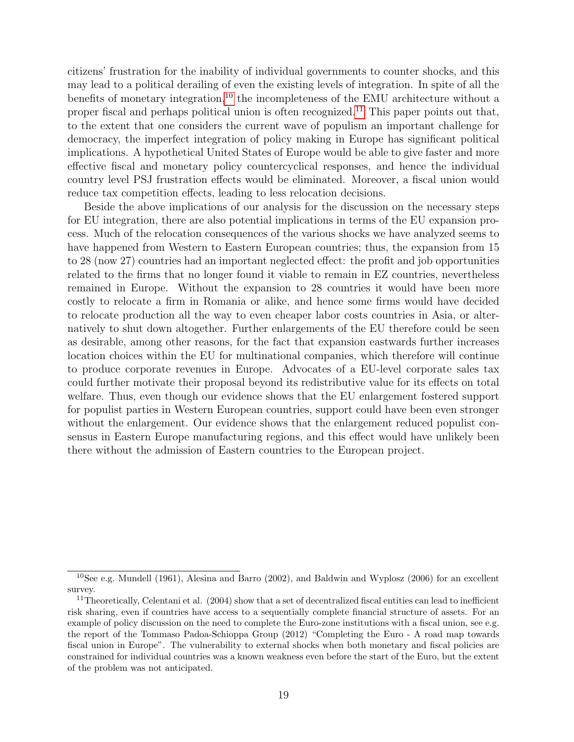citizens' frustration for the inability of individual governments to counter shocks, and this may lead to a political derailing of even the existing levels of integration. In spite of all the benefits of monetary integration,<sup>[10](#page-1-0)</sup> the incompleteness of the EMU architecture without a proper fiscal and perhaps political union is often recognized.<sup>[11](#page-1-0)</sup> This paper points out that, to the extent that one considers the current wave of populism an important challenge for democracy, the imperfect integration of policy making in Europe has significant political implications. A hypothetical United States of Europe would be able to give faster and more effective fiscal and monetary policy countercyclical responses, and hence the individual country level PSJ frustration effects would be eliminated. Moreover, a fiscal union would reduce tax competition effects, leading to less relocation decisions.

Beside the above implications of our analysis for the discussion on the necessary steps for EU integration, there are also potential implications in terms of the EU expansion process. Much of the relocation consequences of the various shocks we have analyzed seems to have happened from Western to Eastern European countries; thus, the expansion from 15 to 28 (now 27) countries had an important neglected effect: the profit and job opportunities related to the firms that no longer found it viable to remain in EZ countries, nevertheless remained in Europe. Without the expansion to 28 countries it would have been more costly to relocate a firm in Romania or alike, and hence some firms would have decided to relocate production all the way to even cheaper labor costs countries in Asia, or alternatively to shut down altogether. Further enlargements of the EU therefore could be seen as desirable, among other reasons, for the fact that expansion eastwards further increases location choices within the EU for multinational companies, which therefore will continue to produce corporate revenues in Europe. Advocates of a EU-level corporate sales tax could further motivate their proposal beyond its redistributive value for its effects on total welfare. Thus, even though our evidence shows that the EU enlargement fostered support for populist parties in Western European countries, support could have been even stronger without the enlargement. Our evidence shows that the enlargement reduced populist consensus in Eastern Europe manufacturing regions, and this effect would have unlikely been there without the admission of Eastern countries to the European project.

<sup>&</sup>lt;sup>10</sup>See e.g. Mundell (1961), Alesina and Barro (2002), and Baldwin and Wyplosz (2006) for an excellent survey.

 $11$ Theoretically, Celentani et al. (2004) show that a set of decentralized fiscal entities can lead to inefficient risk sharing, even if countries have access to a sequentially complete financial structure of assets. For an example of policy discussion on the need to complete the Euro-zone institutions with a fiscal union, see e.g. the report of the Tommaso Padoa-Schioppa Group (2012) "Completing the Euro - A road map towards fiscal union in Europe". The vulnerability to external shocks when both monetary and fiscal policies are constrained for individual countries was a known weakness even before the start of the Euro, but the extent of the problem was not anticipated.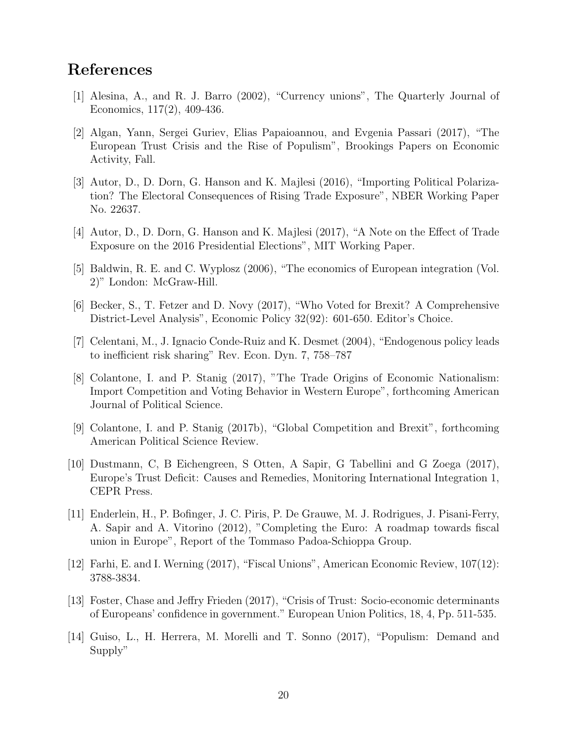# References

- [1] Alesina, A., and R. J. Barro (2002), "Currency unions", The Quarterly Journal of Economics, 117(2), 409-436.
- [2] Algan, Yann, Sergei Guriev, Elias Papaioannou, and Evgenia Passari (2017), "The European Trust Crisis and the Rise of Populism", Brookings Papers on Economic Activity, Fall.
- [3] Autor, D., D. Dorn, G. Hanson and K. Majlesi (2016), "Importing Political Polarization? The Electoral Consequences of Rising Trade Exposure", NBER Working Paper No. 22637.
- [4] Autor, D., D. Dorn, G. Hanson and K. Majlesi (2017), "A Note on the Effect of Trade Exposure on the 2016 Presidential Elections", MIT Working Paper.
- [5] Baldwin, R. E. and C. Wyplosz (2006), "The economics of European integration (Vol. 2)" London: McGraw-Hill.
- [6] Becker, S., T. Fetzer and D. Novy (2017), "Who Voted for Brexit? A Comprehensive District-Level Analysis", Economic Policy 32(92): 601-650. Editor's Choice.
- [7] Celentani, M., J. Ignacio Conde-Ruiz and K. Desmet (2004), "Endogenous policy leads to inefficient risk sharing" Rev. Econ. Dyn. 7, 758–787
- [8] Colantone, I. and P. Stanig (2017), "The Trade Origins of Economic Nationalism: Import Competition and Voting Behavior in Western Europe", forthcoming American Journal of Political Science.
- [9] Colantone, I. and P. Stanig (2017b), "Global Competition and Brexit", forthcoming American Political Science Review.
- [10] Dustmann, C, B Eichengreen, S Otten, A Sapir, G Tabellini and G Zoega (2017), Europe's Trust Deficit: Causes and Remedies, Monitoring International Integration 1, CEPR Press.
- [11] Enderlein, H., P. Bofinger, J. C. Piris, P. De Grauwe, M. J. Rodrigues, J. Pisani-Ferry, A. Sapir and A. Vitorino (2012), "Completing the Euro: A roadmap towards fiscal union in Europe", Report of the Tommaso Padoa-Schioppa Group.
- [12] Farhi, E. and I. Werning (2017), "Fiscal Unions", American Economic Review, 107(12): 3788-3834.
- [13] Foster, Chase and Jeffry Frieden (2017), "Crisis of Trust: Socio-economic determinants of Europeans' confidence in government." European Union Politics, 18, 4, Pp. 511-535.
- [14] Guiso, L., H. Herrera, M. Morelli and T. Sonno (2017), "Populism: Demand and Supply"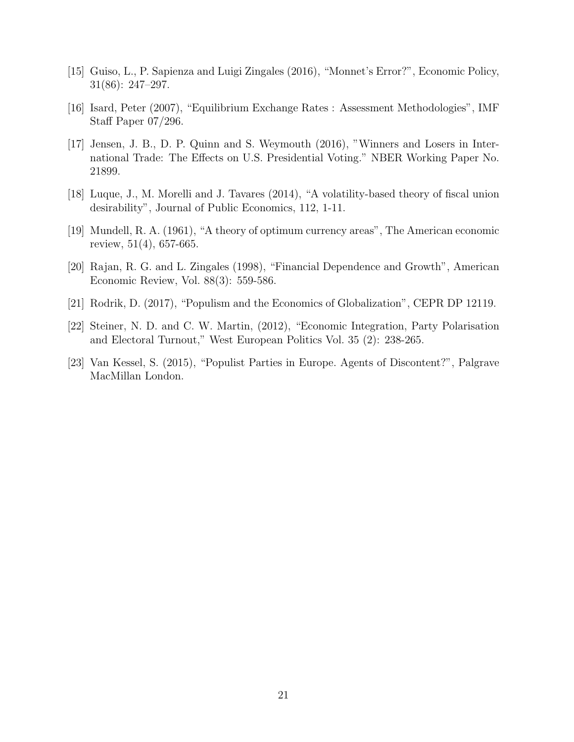- [15] Guiso, L., P. Sapienza and Luigi Zingales (2016), "Monnet's Error?", Economic Policy, 31(86): 247–297.
- [16] Isard, Peter (2007), "Equilibrium Exchange Rates : Assessment Methodologies", IMF Staff Paper 07/296.
- [17] Jensen, J. B., D. P. Quinn and S. Weymouth (2016), "Winners and Losers in International Trade: The Effects on U.S. Presidential Voting." NBER Working Paper No. 21899.
- [18] Luque, J., M. Morelli and J. Tavares (2014), "A volatility-based theory of fiscal union desirability", Journal of Public Economics, 112, 1-11.
- [19] Mundell, R. A. (1961), "A theory of optimum currency areas", The American economic review, 51(4), 657-665.
- [20] Rajan, R. G. and L. Zingales (1998), "Financial Dependence and Growth", American Economic Review, Vol. 88(3): 559-586.
- [21] Rodrik, D. (2017), "Populism and the Economics of Globalization", CEPR DP 12119.
- [22] Steiner, N. D. and C. W. Martin, (2012), "Economic Integration, Party Polarisation and Electoral Turnout," West European Politics Vol. 35 (2): 238-265.
- [23] Van Kessel, S. (2015), "Populist Parties in Europe. Agents of Discontent?", Palgrave MacMillan London.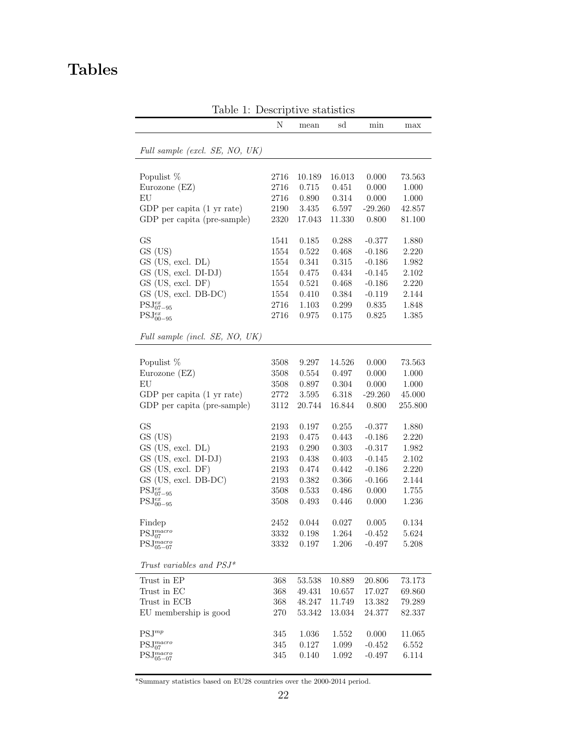# <span id="page-22-0"></span>Tables

|                                | Ν        | mean        | <b>1.</b> Deport but to promine the<br>sd | min             | max       |
|--------------------------------|----------|-------------|-------------------------------------------|-----------------|-----------|
|                                |          |             |                                           |                 |           |
| Full sample (excl. SE, NO, UK) |          |             |                                           |                 |           |
|                                |          |             |                                           |                 |           |
| Populist %                     | 2716     | 10.189      | 16.013                                    | 0.000           | 73.563    |
| Eurozone (EZ)                  | 2716     | 0.715       | 0.451                                     | 0.000           | 1.000     |
| EU                             | 2716     | 0.890       | 0.314                                     | 0.000           | $1.000\,$ |
| GDP per capita (1 yr rate)     | 2190     | $3.435\,$   | 6.597                                     | $-29.260$       | 42.857    |
| GDP per capita (pre-sample)    | 2320     | 17.043      | 11.330                                    | 0.800           | 81.100    |
| <b>GS</b>                      | 1541     | 0.185       | 0.288                                     | $-0.377$        | 1.880     |
| GS (US)                        | 1554     | 0.522       | 0.468                                     | $-0.186$        | 2.220     |
| GS (US, excl. DL)              | 1554     | 0.341       | 0.315                                     | $-0.186$        | 1.982     |
| GS (US, excl. DI-DJ)           | 1554     | 0.475       | 0.434                                     | $-0.145$        | 2.102     |
| GS (US, excl. DF)              | 1554     | 0.521       | 0.468                                     | $-0.186$        | 2.220     |
| GS (US, excl. DB-DC)           | 1554     | 0.410       | 0.384                                     | $-0.119$        | 2.144     |
| $PSJ^{ex}_{07-95}$             | 2716     | 1.103       | 0.299                                     | 0.835           | 1.848     |
| $\text{PSJ}_{00-95}^{ex}$      | 2716     | 0.975       | 0.175                                     | 0.825           | 1.385     |
| Full sample (incl. SE, NO, UK) |          |             |                                           |                 |           |
|                                |          |             |                                           |                 |           |
| Populist %                     | 3508     | 9.297       | 14.526                                    | 0.000           | 73.563    |
| Eurozone (EZ)                  | 3508     | $\,0.554\,$ | 0.497                                     | 0.000           | 1.000     |
| EU                             | 3508     | 0.897       | 0.304                                     | 0.000           | 1.000     |
| GDP per capita (1 yr rate)     | 2772     | 3.595       | 6.318                                     | $-29.260$       | 45.000    |
| GDP per capita (pre-sample)    | 3112     | 20.744      | 16.844                                    | 0.800           | 255.800   |
| <b>GS</b>                      | 2193     | 0.197       | 0.255                                     | $-0.377$        | 1.880     |
| GS (US)                        | 2193     | 0.475       | 0.443                                     | $-0.186$        | 2.220     |
| GS (US, excl. DL)              | 2193     | 0.290       | 0.303                                     | $-0.317$        | 1.982     |
| GS (US, excl. DI-DJ)           | 2193     | 0.438       | 0.403                                     | $-0.145$        | 2.102     |
| GS (US, excl. DF)              | 2193     | 0.474       | 0.442                                     | $-0.186$        | 2.220     |
| GS (US, excl. DB-DC)           | 2193     | 0.382       | 0.366                                     | $-0.166$        | 2.144     |
| $\text{PSJ}^{ex}_{07-95}$      | 3508     | 0.533       | 0.486                                     | 0.000           | 1.755     |
| $\text{PSJ}^{ex}_{00-95}$      | 3508     | 0.493       | 0.446                                     | 0.000           | 1.236     |
|                                |          |             |                                           |                 |           |
| Findep                         | 2452     | 0.044       | 0.027                                     | 0.005           | 0.134     |
| $\text{PSJ}^{macro}_{07}$      | $3332\,$ | 0.198       | 1.264                                     | $\mbox{-}0.452$ | 5.624     |
| $\mathrm{PSJ}_{05-07}^{macro}$ | 3332     | 0.197       | 1.206                                     | $-0.497$        | 5.208     |
| Trust variables and $PSJ^*$    |          |             |                                           |                 |           |
| Trust in EP                    | 368      | 53.538      | 10.889                                    | 20.806          | 73.173    |
| Trust in EC                    | 368      | 49.431      | 10.657                                    | 17.027          | 69.860    |
| Trust in ECB                   | 368      | 48.247      | 11.749                                    | 13.382          | 79.289    |
| EU membership is good          | 270      | 53.342      | 13.034                                    | 24.377          | 82.337    |
|                                |          |             |                                           |                 |           |
| $PSJ^{mp}$                     | 345      | $1.036\,$   | 1.552                                     | 0.000           | 11.065    |
| $PSJ_{07}^{macro}$             | $345\,$  | $0.127\,$   | 1.099                                     | $-0.452$        | 6.552     |
| $\mathrm{PSJ}_{05-07}^{macro}$ | 345      | 0.140       | 1.092                                     | $-0.497$        | 6.114     |
|                                |          |             |                                           |                 |           |

Table 1: Descriptive statistics

\*Summary statistics based on EU28 countries over the 2000-2014 period.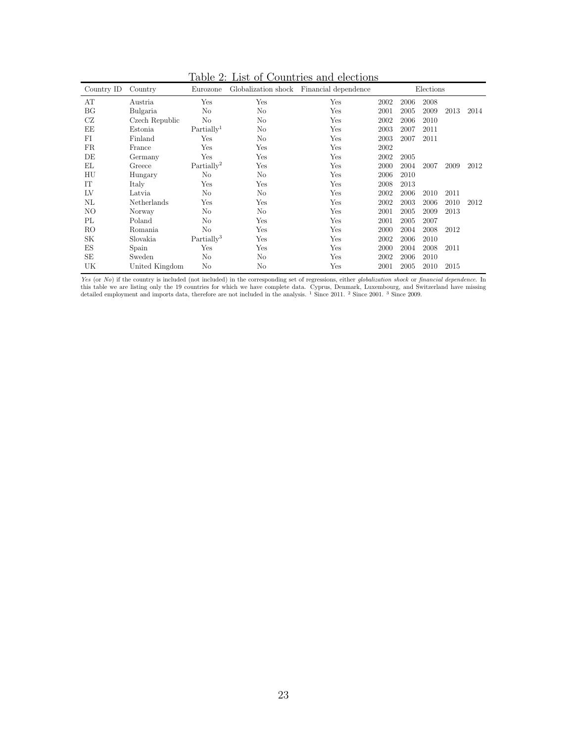<span id="page-23-0"></span>

| Country ID     | Country        | Eurozone               | Globalization shock | Financial dependence |      |      | Elections |      |      |
|----------------|----------------|------------------------|---------------------|----------------------|------|------|-----------|------|------|
| AT             | Austria        | Yes                    | Yes                 | Yes                  | 2002 | 2006 | 2008      |      |      |
| BG             | Bulgaria       | No                     | No                  | Yes                  | 2001 | 2005 | 2009      | 2013 | 2014 |
| CZ             | Czech Republic | N <sub>o</sub>         | No                  | Yes                  | 2002 | 2006 | 2010      |      |      |
| EE             | Estonia        | Partially <sup>1</sup> | No                  | Yes                  | 2003 | 2007 | 2011      |      |      |
| FI             | Finland        | Yes                    | No                  | Yes                  | 2003 | 2007 | 2011      |      |      |
| FR.            | France         | Yes                    | Yes                 | Yes                  | 2002 |      |           |      |      |
| DE             | Germany        | Yes                    | Yes                 | Yes                  | 2002 | 2005 |           |      |      |
| EL             | Greece         | Partially <sup>2</sup> | Yes                 | Yes                  | 2000 | 2004 | 2007      | 2009 | 2012 |
| HU             | Hungary        | N <sub>o</sub>         | No                  | Yes                  | 2006 | 2010 |           |      |      |
| IT             | Italy          | Yes                    | Yes                 | Yes                  | 2008 | 2013 |           |      |      |
| LV             | Latvia         | No                     | N <sub>o</sub>      | Yes                  | 2002 | 2006 | 2010      | 2011 |      |
| NL             | Netherlands    | Yes                    | Yes                 | Yes                  | 2002 | 2003 | 2006      | 2010 | 2012 |
| NO             | Norway         | No                     | No                  | Yes                  | 2001 | 2005 | 2009      | 2013 |      |
| PL             | Poland         | N <sub>0</sub>         | Yes                 | Yes                  | 2001 | 2005 | 2007      |      |      |
| R <sub>O</sub> | Romania        | No                     | Yes                 | Yes                  | 2000 | 2004 | 2008      | 2012 |      |
| SK             | Slovakia       | Partially <sup>3</sup> | Yes                 | Yes                  | 2002 | 2006 | 2010      |      |      |
| ES             | Spain          | Yes                    | Yes                 | Yes                  | 2000 | 2004 | 2008      | 2011 |      |
| SE             | Sweden         | No                     | No                  | Yes                  | 2002 | 2006 | 2010      |      |      |
| UK             | United Kingdom | No                     | No                  | Yes                  | 2001 | 2005 | 2010      | 2015 |      |

Table 2: List of Countries and elections

Yes (or No) if the country is included (not included) in the corresponding set of regressions, either globalization shock or financial dependence. In this table we are listing only the 19 countries for which we have complete data. Cyprus, Denmark, Luxembourg, and Switzerland have missing detailed employment and imports data, therefore are not included in the analysis. <sup>1</sup> Since 2011. <sup>2</sup> Since 2001. <sup>3</sup> Since 2009.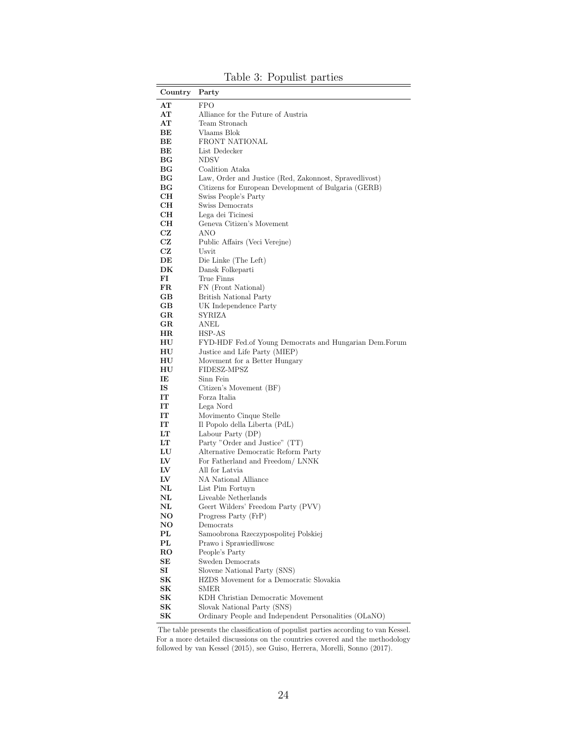<span id="page-24-0"></span>

| Country       | Party                                                    |
|---------------|----------------------------------------------------------|
| AT            | <b>FPO</b>                                               |
| AT            | Alliance for the Future of Austria                       |
| AТ            | Team Stronach                                            |
| BЕ            | Vlaams Blok                                              |
| BЕ            | FRONT NATIONAL                                           |
| BЕ            | List Dedecker                                            |
| ВG            | <b>NDSV</b>                                              |
| $_{\rm BG}$   | Coalition Ataka                                          |
| ВG            | Law, Order and Justice (Red, Zakonnost, Spravedlivost)   |
| ВG            | Citizens for European Development of Bulgaria (GERB)     |
| CН            | Swiss People's Party                                     |
| CН            | Swiss Democrats                                          |
| CН            | Lega dei Ticinesi                                        |
| CН            | Geneva Citizen's Movement                                |
| CZ            | ANO                                                      |
| CZ            | Public Affairs (Veci Verejne)                            |
| CZ            | Usvit                                                    |
| DE            | Die Linke (The Left)                                     |
| DK            | Dansk Folkeparti                                         |
| FI            | True Finns                                               |
| FR            | FN (Front National)                                      |
| GВ            | <b>British National Party</b>                            |
| GВ            | UK Independence Party                                    |
| $_{\rm GR}$   | SYRIZA                                                   |
| $_{\rm GR}$   | ANEL                                                     |
| $_{\rm HR}$   | HSP-AS                                                   |
| HU            | FYD-HDF Fed. of Young Democrats and Hungarian Dem. Forum |
| HU            | Justice and Life Party (MIEP)                            |
| HU            | Movement for a Better Hungary                            |
| HU            | FIDESZ-MPSZ                                              |
| IE            | Sinn Fein                                                |
| IS            | Citizen's Movement (BF)                                  |
| IT            | Forza Italia                                             |
| IT            | Lega Nord                                                |
|               |                                                          |
| IT            | Movimento Cinque Stelle                                  |
| IT            | Il Popolo della Liberta (PdL)                            |
| LT            | Labour Party (DP)                                        |
| LT            | Party "Order and Justice" (TT)                           |
| LU            | Alternative Democratic Reform Party                      |
| LV            | For Fatherland and Freedom/ LNNK                         |
| LV            | All for Latvia                                           |
| LV            | NA National Alliance                                     |
| NL            | List Pim Fortuyn                                         |
| $_{\rm NL}$   | Liveable Netherlands                                     |
| $\mathbf{NL}$ | Geert Wilders' Freedom Party (PVV)                       |
| NO            | Progress Party (FrP)                                     |
| NO            | Democrats                                                |
| PL            | Samoobrona Rzeczypospolitej Polskiej                     |
| PL            | Prawo i Sprawiedliwosc                                   |
| RO.           | People's Party                                           |
| SЕ            | Sweden Democrats                                         |
| SI            | Slovene National Party (SNS)                             |
| SK            | HZDS Movement for a Democratic Slovakia                  |
| SK            | SMER                                                     |
| SК            | KDH Christian Democratic Movement                        |
| SК            | Slovak National Party (SNS)                              |
| SК            | Ordinary People and Independent Personalities (OLaNO)    |
|               |                                                          |

Table 3: Populist parties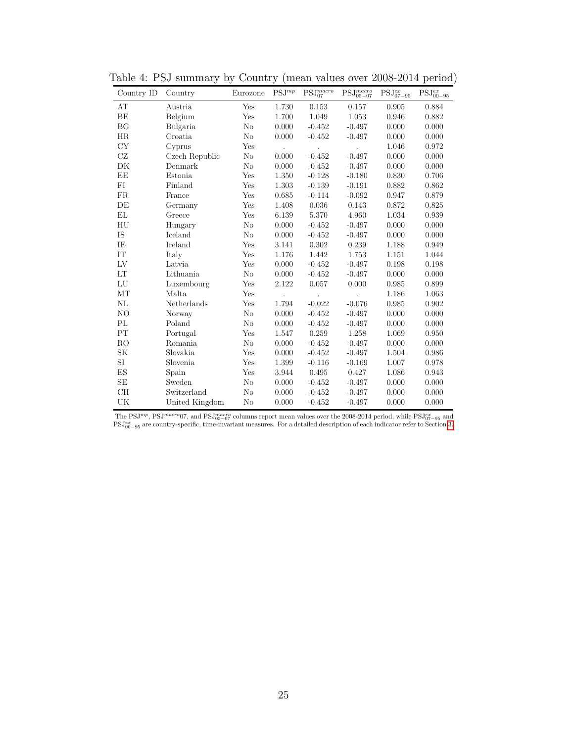| Country ID     | Country        | Eurozone       | $PSJ^{mp}$ | $PSJ_{07}^{macro}$ | $\text{PSJ}^{macro}_{05-07}$ | $\text{PSJ}^{ex}_{07-95}$ | $\text{PSJ}^{ex}_{00-95}$ |
|----------------|----------------|----------------|------------|--------------------|------------------------------|---------------------------|---------------------------|
| AT             | Austria        | Yes            | 1.730      | 0.153              | 0.157                        | 0.905                     | 0.884                     |
| ΒE             | Belgium        | Yes            | 1.700      | 1.049              | 1.053                        | 0.946                     | 0.882                     |
| BG             | Bulgaria       | No             | 0.000      | $-0.452$           | $-0.497$                     | 0.000                     | 0.000                     |
| HR             | Croatia        | N <sub>o</sub> | 0.000      | $-0.452$           | $-0.497$                     | 0.000                     | 0.000                     |
| CY             | Cyprus         | Yes            |            | $\cdot$            | $\ddot{\phantom{a}}$         | 1.046                     | 0.972                     |
| CZ             | Czech Republic | N <sub>o</sub> | 0.000      | $-0.452$           | $-0.497$                     | 0.000                     | 0.000                     |
| DK             | Denmark        | No             | 0.000      | $-0.452$           | $-0.497$                     | 0.000                     | 0.000                     |
| EE             | Estonia        | Yes            | 1.350      | $-0.128$           | $-0.180$                     | 0.830                     | 0.706                     |
| FI             | Finland        | Yes            | 1.303      | $-0.139$           | $-0.191$                     | 0.882                     | 0.862                     |
| FR             | France         | Yes            | 0.685      | $-0.114$           | $-0.092$                     | 0.947                     | 0.879                     |
| DE             | Germany        | Yes            | 1.408      | 0.036              | 0.143                        | 0.872                     | 0.825                     |
| EL             | Greece         | Yes            | 6.139      | 5.370              | 4.960                        | 1.034                     | 0.939                     |
| HU             | Hungary        | N <sub>o</sub> | 0.000      | $-0.452$           | $-0.497$                     | 0.000                     | 0.000                     |
| IS             | Iceland        | No             | 0.000      | $-0.452$           | $-0.497$                     | 0.000                     | 0.000                     |
| IE             | Ireland        | Yes            | 3.141      | 0.302              | 0.239                        | 1.188                     | 0.949                     |
| IT             | Italy          | Yes            | 1.176      | 1.442              | 1.753                        | 1.151                     | 1.044                     |
| LV             | Latvia         | Yes            | 0.000      | $-0.452$           | $-0.497$                     | 0.198                     | 0.198                     |
| LT             | Lithuania      | No             | 0.000      | $-0.452$           | $-0.497$                     | 0.000                     | 0.000                     |
| LU             | Luxembourg     | Yes            | 2.122      | 0.057              | 0.000                        | $\,0.985\,$               | 0.899                     |
| MT             | Malta          | Yes            |            | $\cdot$            |                              | 1.186                     | 1.063                     |
| NL             | Netherlands    | Yes            | 1.794      | $-0.022$           | $-0.076$                     | 0.985                     | 0.902                     |
| NO             | Norway         | No             | 0.000      | $-0.452$           | $-0.497$                     | 0.000                     | 0.000                     |
| PL             | Poland         | No             | 0.000      | $-0.452$           | $-0.497$                     | 0.000                     | 0.000                     |
| PT             | Portugal       | Yes            | $1.547\,$  | 0.259              | 1.258                        | 1.069                     | 0.950                     |
| R <sub>O</sub> | Romania        | No             | 0.000      | $-0.452$           | $-0.497$                     | 0.000                     | 0.000                     |
| SK             | Slovakia       | Yes            | 0.000      | $-0.452$           | $-0.497$                     | 1.504                     | 0.986                     |
| $\rm SI$       | Slovenia       | Yes            | 1.399      | $-0.116$           | $-0.169$                     | 1.007                     | 0.978                     |
| ES             | Spain          | Yes            | 3.944      | 0.495              | 0.427                        | 1.086                     | 0.943                     |
| <b>SE</b>      | Sweden         | N <sub>o</sub> | 0.000      | $-0.452$           | $-0.497$                     | 0.000                     | 0.000                     |
| CH             | Switzerland    | No             | 0.000      | $-0.452$           | $-0.497$                     | 0.000                     | 0.000                     |
| UK             | United Kingdom | N <sub>o</sub> | 0.000      | $-0.452$           | $-0.497$                     | 0.000                     | 0.000                     |

<span id="page-25-0"></span>Table 4: PSJ summary by Country (mean values over 2008-2014 period)

The PSJ<sup>mp</sup>, PSJ<sup>macro</sup>07, and PSJ<sub>05</sub>-07 columns report mean values over the 2008-2014 period, while PSJ<sub>67-95</sub> and PSJ<sub>67-95</sub> and PSJ<sub>67-95</sub> are country-specific, time-invariant measures. For a detailed description of e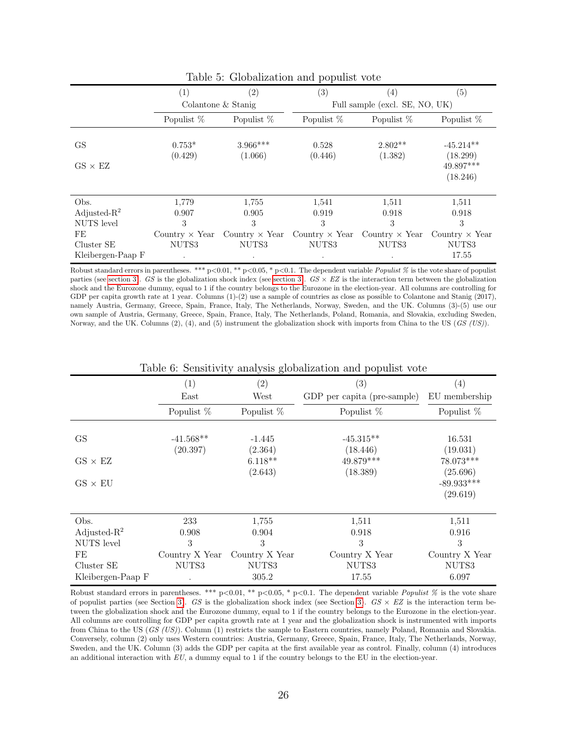<span id="page-26-0"></span>

|                   | $\left( 2\right)$<br>(1) |                       | (3)              | (4)                                         | (5)                     |  |  |
|-------------------|--------------------------|-----------------------|------------------|---------------------------------------------|-------------------------|--|--|
|                   |                          | Colantone & Stanig    |                  | Full sample (excl. SE, NO, UK)              |                         |  |  |
|                   | Populist %               | Populist %            | Populist %       | Populist %                                  | Populist %              |  |  |
| GS                | $0.753*$<br>(0.429)      | $3.966***$<br>(1.066) | 0.528<br>(0.446) | $2.802**$<br>(1.382)                        | $-45.214**$<br>(18.299) |  |  |
| $GS \times EZ$    |                          |                       |                  |                                             | 49.897***<br>(18.246)   |  |  |
| Obs.              | 1,779                    | 1,755                 | 1,541            | 1,511                                       | 1,511                   |  |  |
| Adjusted- $R^2$   | 0.907                    | 0.905                 | 0.919            | 0.918                                       | 0.918                   |  |  |
| <b>NUTS</b> level | 3                        | 3                     | 3                | 3                                           | 3                       |  |  |
| FE                | Country $\times$ Year    | Country $\times$ Year |                  | Country $\times$ Year Country $\times$ Year | Country $\times$ Year   |  |  |
| Cluster SE        | NUTS3                    | NUTS3                 | NUTS3            | NUTS3                                       | NUTS3                   |  |  |
| Kleibergen-Paap F | $\bullet$                | $\bullet$             | $\bullet$        |                                             | 17.55                   |  |  |

Table 5: Globalization and populist vote

Robust standard errors in parentheses. \*\*\* p<0.01, \*\* p<0.05, \* p<0.1. The dependent variable Populist % is the vote share of populist parties (see [section 3\)](#page-7-0). GS is the globalization shock index (see section 3).  $GS \times EZ$  is the interaction term between the globalization shock and the Eurozone dummy, equal to 1 if the country belongs to the Eurozone in the election-year. All columns are controlling for GDP per capita growth rate at 1 year. Columns  $(1)-(2)$  use a sample of countries as close as possible to Colantone and Stanig (2017), namely Austria, Germany, Greece, Spain, France, Italy, The Netherlands, Norway, Sweden, and the UK. Columns (3)-(5) use our own sample of Austria, Germany, Greece, Spain, France, Italy, The Netherlands, Poland, Romania, and Slovakia, excluding Sweden, Norway, and the UK. Columns (2), (4), and (5) instrument the globalization shock with imports from China to the US ( $GS$  (US)).

<span id="page-26-1"></span>

|                   | $\left( 2\right)$<br>(1) |                | (3)                         | (4)            |
|-------------------|--------------------------|----------------|-----------------------------|----------------|
|                   | $\text{East}$            | West           | GDP per capita (pre-sample) | EU membership  |
|                   | Populist %               | Populist %     | Populist $%$                | Populist $%$   |
|                   |                          |                |                             |                |
| <b>GS</b>         | $-41.568**$              | $-1.445$       | $-45.315**$                 | 16.531         |
|                   | (20.397)                 | (2.364)        | (18.446)                    | (19.031)       |
| $GS \times EZ$    |                          | $6.118**$      | 49.879***                   | 78.073***      |
|                   |                          | (2.643)        | (18.389)                    | (25.696)       |
| $GS \times EU$    |                          |                |                             | $-89.933***$   |
|                   |                          |                |                             | (29.619)       |
|                   |                          |                |                             |                |
| Obs.              | 233                      | 1.755          | 1,511                       | 1,511          |
| Adjusted- $R^2$   | 0.908                    | 0.904          | 0.918                       | 0.916          |
| <b>NUTS</b> level | 3                        | 3              | 3                           | 3              |
| FE                | Country X Year           | Country X Year | Country X Year              | Country X Year |
| Cluster SE        | NUTS3                    | NUTS3          | NUTS3                       | NUTS3          |
| Kleibergen-Paap F |                          | 305.2          | 17.55                       | 6.097          |

Table 6: Sensitivity analysis globalization and populist vote

Robust standard errors in parentheses. \*\*\* p<0.01, \*\* p<0.05, \* p<0.1. The dependent variable *Populist* % is the vote share of populist parties (see Section [3\)](#page-7-0). GS is the globalization shock index (see Section 3).  $GS \times EZ$  is the interaction term between the globalization shock and the Eurozone dummy, equal to 1 if the country belongs to the Eurozone in the election-year. All columns are controlling for GDP per capita growth rate at 1 year and the globalization shock is instrumented with imports from China to the US (GS (US)). Column (1) restricts the sample to Eastern countries, namely Poland, Romania and Slovakia. Conversely, column (2) only uses Western countries: Austria, Germany, Greece, Spain, France, Italy, The Netherlands, Norway, Sweden, and the UK. Column (3) adds the GDP per capita at the first available year as control. Finally, column (4) introduces an additional interaction with EU, a dummy equal to 1 if the country belongs to the EU in the election-year.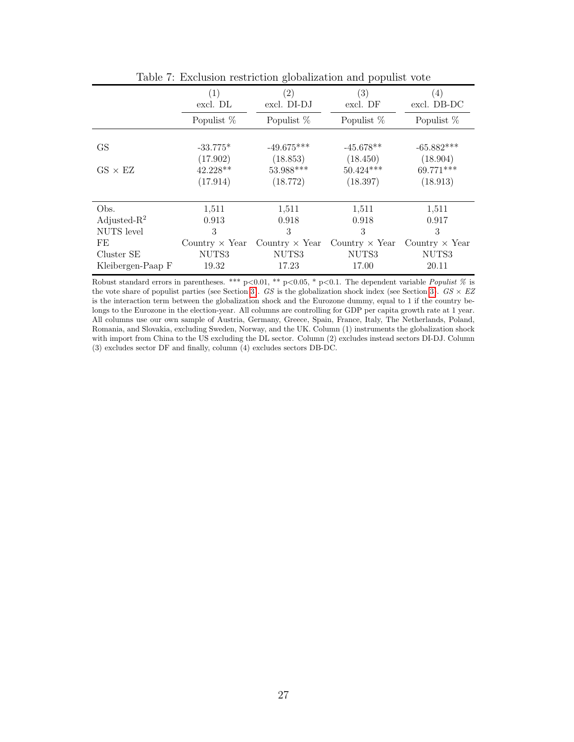<span id="page-27-0"></span>

|                   |                       | ັ                     |                       |                                 |
|-------------------|-----------------------|-----------------------|-----------------------|---------------------------------|
|                   | (1)<br>excl. DL       | (2)<br>excl. DI-DJ    | (3)<br>excl. DF       | $\left(4\right)$<br>excl. DB-DC |
|                   | Populist $%$          | Populist %            | Populist %            | Populist $%$                    |
|                   |                       |                       |                       |                                 |
| GS                | $-33.775*$            | $-49.675***$          | $-45.678**$           | $-65.882***$                    |
|                   | (17.902)              | (18.853)              | (18.450)              | (18.904)                        |
| $GS \times EZ$    | $42.228**$            | 53.988***             | $50.424***$           | 69.771***                       |
|                   | (17.914)              | (18.772)              | (18.397)              | (18.913)                        |
|                   |                       |                       |                       |                                 |
| Obs.              | 1,511                 | 1,511                 | 1,511                 | 1,511                           |
| Adjusted- $R^2$   | 0.913                 | 0.918                 | 0.918                 | 0.917                           |
| <b>NUTS</b> level | 3                     | 3                     | 3                     | 3                               |
| FE                | Country $\times$ Year | Country $\times$ Year | Country $\times$ Year | Country $\times$ Year           |
| Cluster SE        | NUTS3                 | NUTS3                 | NUTS3                 | NUTS3                           |
| Kleibergen-Paap F | 19.32                 | 17.23                 | 17.00                 | 20.11                           |

Table 7: Exclusion restriction globalization and populist vote

Robust standard errors in parentheses. \*\*\* p<0.01, \*\* p<0.05, \* p<0.1. The dependent variable *Populist* % is the vote share of populist parties (see Section [3\)](#page-7-0). GS is the globalization shock index (see Section 3). GS  $\times$  EZ is the interaction term between the globalization shock and the Eurozone dummy, equal to 1 if the country belongs to the Eurozone in the election-year. All columns are controlling for GDP per capita growth rate at 1 year. All columns use our own sample of Austria, Germany, Greece, Spain, France, Italy, The Netherlands, Poland, Romania, and Slovakia, excluding Sweden, Norway, and the UK. Column (1) instruments the globalization shock with import from China to the US excluding the DL sector. Column (2) excludes instead sectors DI-DJ. Column (3) excludes sector DF and finally, column (4) excludes sectors DB-DC.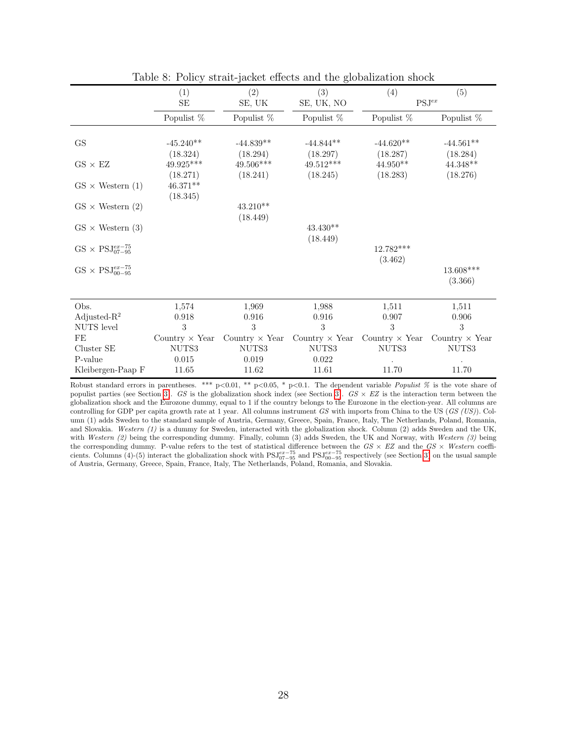<span id="page-28-0"></span>

|                                 | (1)                     | (2)                     | (3)                     | (4)                     | (5)                    |
|---------------------------------|-------------------------|-------------------------|-------------------------|-------------------------|------------------------|
|                                 | $\rm SE$                | SE, UK                  | SE, UK, NO              |                         | $\mathrm{PSJ}^{ex}$    |
|                                 | Populist %              | Populist $%$            | Populist %              | Populist %              | Populist %             |
|                                 | $-45.240**$             |                         |                         |                         |                        |
| GS                              |                         | $-44.839**$<br>(18.294) | $-44.844**$<br>(18.297) | $-44.620**$<br>(18.287) | $-44.561**$            |
| $GS \times EZ$                  | (18.324)<br>$49.925***$ | 49.506***               | 49.512***               | $44.950**$              | (18.284)<br>$44.348**$ |
|                                 | (18.271)                | (18.241)                | (18.245)                | (18.283)                | (18.276)               |
| $GS \times$ Western (1)         | $46.371**$              |                         |                         |                         |                        |
|                                 | (18.345)                |                         |                         |                         |                        |
| $GS \times$ Western (2)         |                         | $43.210**$              |                         |                         |                        |
|                                 |                         | (18.449)                |                         |                         |                        |
| $GS \times$ Western (3)         |                         |                         | $43.430**$              |                         |                        |
|                                 |                         |                         | (18.449)                |                         |                        |
| $GS \times PSJ_{07-95}^{ex-75}$ |                         |                         |                         | $12.782***$             |                        |
|                                 |                         |                         |                         | (3.462)                 |                        |
| $GS \times PSJ_{00-95}^{ex-75}$ |                         |                         |                         |                         | $13.608***$            |
|                                 |                         |                         |                         |                         | (3.366)                |
|                                 |                         |                         |                         |                         |                        |
| Obs.                            | 1,574                   | 1,969                   | 1,988                   | 1,511                   | 1,511                  |
| Adjusted- $R^2$                 | 0.918                   | 0.916                   | 0.916                   | 0.907                   | 0.906                  |
| NUTS level                      | 3                       | 3                       | 3                       | 3                       | 3                      |
| FE                              | Country $\times$ Year   | Country $\times$ Year   | Country $\times$ Year   | Country $\times$ Year   | Country $\times$ Year  |
| Cluster SE                      | NUTS3                   | NUTS3                   | NUTS3                   | NUTS3                   | NUTS3                  |
| P-value                         | 0.015                   | 0.019                   | 0.022                   |                         |                        |
| Kleibergen-Paap F               | 11.65                   | 11.62                   | 11.61                   | 11.70                   | 11.70                  |

Table 8: Policy strait-jacket effects and the globalization shock

Robust standard errors in parentheses. \*\*\* p<0.01, \*\* p<0.05, \* p<0.1. The dependent variable Populist % is the vote share of populist parties (see Section [3\)](#page-7-0). GS is the globalization shock index (see Section 3). GS  $\times$  EZ is the interaction term between the globalization shock and the Eurozone dummy, equal to 1 if the country belongs to the Eurozone in the election-year. All columns are controlling for GDP per capita growth rate at 1 year. All columns instrument  $GS$  with imports from China to the US ( $GS$  (US)). Column (1) adds Sweden to the standard sample of Austria, Germany, Greece, Spain, France, Italy, The Netherlands, Poland, Romania, and Slovakia. Western (1) is a dummy for Sweden, interacted with the globalization shock. Column (2) adds Sweden and the UK, with Western  $(2)$  being the corresponding dummy. Finally, column  $(3)$  adds Sweden, the UK and Norway, with Western  $(3)$  being the corresponding dummy. P-value refers to the test of statistical difference between the  $GS \times EZ$  and the  $GS \times Western$  coefficients. Columns (4)-(5) interact the globalization shock with  $PSJ_{07-95}^{ex-75}$  and  $PSJ_{00-95}^{ex-75}$  respectively (see Section [3\)](#page-7-0) on the usual sample of Austria, Germany, Greece, Spain, France, Italy, The Netherlands, Poland, Romania, and Slovakia.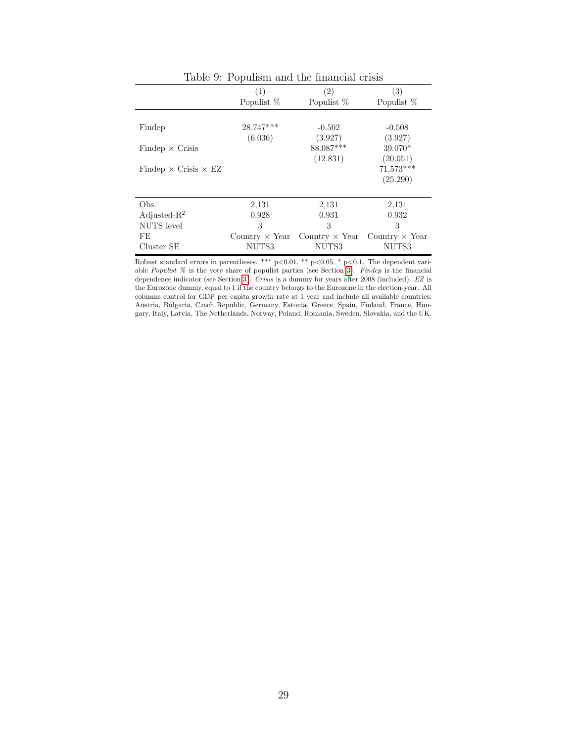<span id="page-29-0"></span>

|                                    | (1)<br>Populist %      | (2)<br>Populist %     | (3)<br>Populist %       |
|------------------------------------|------------------------|-----------------------|-------------------------|
| Findep                             | $28.747***$<br>(6.036) | $-0.502$<br>(3.927)   | $-0.508$<br>(3.927)     |
| $Findep \times Crisis$             |                        | 88.087***<br>(12.831) | $39.070*$<br>(20.051)   |
| Findep $\times$ Crisis $\times$ EZ |                        |                       | $71.573***$<br>(25.290) |
|                                    |                        |                       |                         |
| Obs.                               | 2,131                  | 2,131                 | 2,131                   |
| Adjusted- $R^2$                    | 0.928                  | 0.931                 | 0.932                   |
| NUTS level                         | 3                      | 3                     | 3                       |
| FE                                 | Country $\times$ Year  | Country $\times$ Year | Country $\times$ Year   |
| Cluster SE                         | NUTS3                  | NUTS3                 | NUTS3                   |

Table 9: Populism and the financial crisis

Robust standard errors in parentheses. \*\*\*  $p<0.01$ , \*\*  $p<0.05$ , \*  $p<0.1$ . The dependent variable *Populist*  $\%$  is the vote share of populist parties (see Section [3\)](#page-7-0). Findep is the financial dependence indicator (see Section [3\)](#page-7-0). Crisis is a dummy for years after 2008 (included). EZ is the Eurozone dummy, equal to 1 if the country belongs to the Eurozone in the election-year. All columns control for GDP per capita growth rate at 1 year and include all available countries: Austria, Bulgaria, Czech Republic, Germany, Estonia, Greece, Spain, Finland, France, Hungary, Italy, Latvia, The Netherlands, Norway, Poland, Romania, Sweden, Slovakia, and the UK.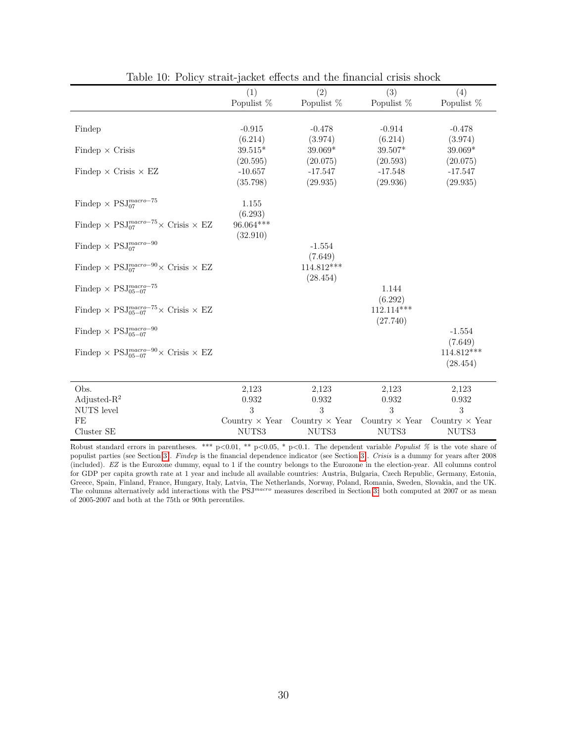<span id="page-30-0"></span>

|                                                                                          | (1)<br>Populist %                | (2)<br>Populist %                | (3)<br>Populist %                           | (4)<br>Populist %              |
|------------------------------------------------------------------------------------------|----------------------------------|----------------------------------|---------------------------------------------|--------------------------------|
|                                                                                          |                                  |                                  |                                             |                                |
| Findep                                                                                   | $-0.915$                         | $-0.478$                         | $-0.914$                                    | $-0.478$                       |
| Findep $\times$ Crisis                                                                   | (6.214)<br>$39.515*$<br>(20.595) | (3.974)<br>$39.069*$<br>(20.075) | (6.214)<br>39.507*<br>(20.593)              | (3.974)<br>39.069*<br>(20.075) |
| Findep $\times$ Crisis $\times$ EZ                                                       | $-10.657$<br>(35.798)            | $-17.547$<br>(29.935)            | $-17.548$<br>(29.936)                       | $-17.547$<br>(29.935)          |
| Findep $\times$ PSJ $^{macro-75}_{07}$                                                   | 1.155<br>(6.293)                 |                                  |                                             |                                |
| Findep $\times$ PSJ <sub>07</sub> <sup><i>macro</i>-75</sup> $\times$ Crisis $\times$ EZ | $96.064***$<br>(32.910)          |                                  |                                             |                                |
| Findep $\times$ $\mathrm{PSJ}_{07}^{macro-90}$                                           |                                  | $-1.554$<br>(7.649)              |                                             |                                |
| Findep $\times$ PSJ <sub>07</sub> <sup>macro-90</sup> $\times$ Crisis $\times$ EZ        |                                  | 114.812***<br>(28.454)           |                                             |                                |
| Findep $\times$ PSJ $_{05-07}^{macro-75}$                                                |                                  |                                  | 1.144<br>(6.292)                            |                                |
| Findep $\times$ PSJ $_{05-07}^{macro-75}\times$ Crisis $\times$ EZ                       |                                  |                                  | $112.114***$<br>(27.740)                    |                                |
| Findep $\times$ $\mathrm{PSJ}_{05-07}^{macro-90}$                                        |                                  |                                  |                                             | $-1.554$<br>(7.649)            |
| Findep $\times$ PSJ $_{05-07}^{macro-90}\times$ Crisis $\times$ EZ                       |                                  |                                  |                                             | 114.812***<br>(28.454)         |
| Obs.                                                                                     | 2,123                            | 2,123                            | 2,123                                       | 2,123                          |
| Adjusted- $R^2$                                                                          | 0.932                            | 0.932                            | 0.932                                       | 0.932                          |
| <b>NUTS</b> level                                                                        | 3                                | 3                                | 3                                           | 3                              |
| FE                                                                                       | Country $\times$ Year            |                                  | Country $\times$ Year Country $\times$ Year | Country $\times$ Year          |
| Cluster SE                                                                               | NUTS3                            | NUTS3                            | NUTS3                                       | NUTS3                          |

Table 10: Policy strait-jacket effects and the financial crisis shock

Robust standard errors in parentheses. \*\*\* p<0.01, \*\* p<0.05, \* p<0.1. The dependent variable Populist % is the vote share of populist parties (see Section [3\)](#page-7-0). Findep is the financial dependence indicator (see Section 3). Crisis is a dummy for years after 2008 (included). EZ is the Eurozone dummy, equal to 1 if the country belongs to the Eurozone in the election-year. All columns control for GDP per capita growth rate at 1 year and include all available countries: Austria, Bulgaria, Czech Republic, Germany, Estonia, Greece, Spain, Finland, France, Hungary, Italy, Latvia, The Netherlands, Norway, Poland, Romania, Sweden, Slovakia, and the UK. The columns alternatively add interactions with the  $PSJ<sup>macro</sup>$  measures described in Section [3:](#page-7-0) both computed at 2007 or as mean of 2005-2007 and both at the 75th or 90th percentiles.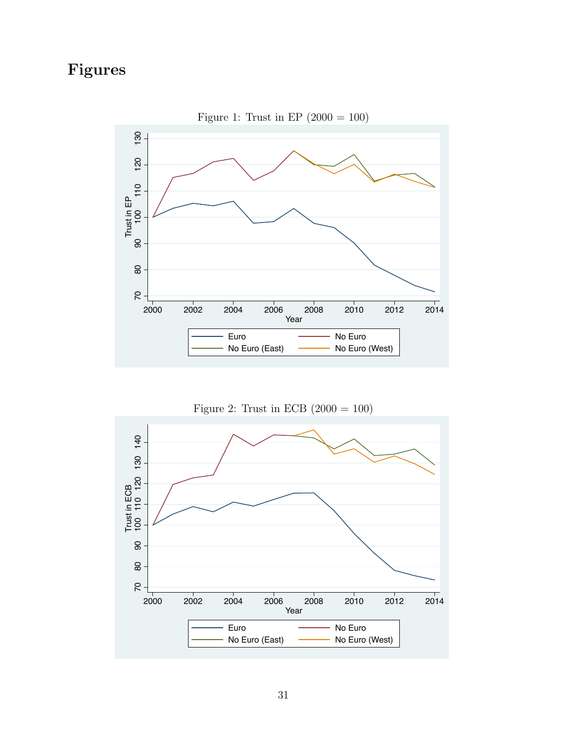# <span id="page-31-0"></span>Figures



Figure 1: Trust in EP  $(2000 = 100)$ 



<span id="page-31-1"></span>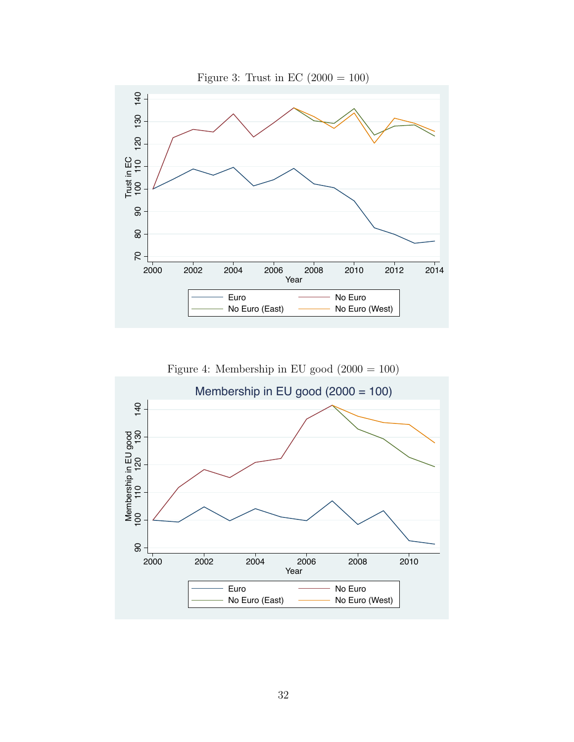<span id="page-32-1"></span>



<span id="page-32-0"></span>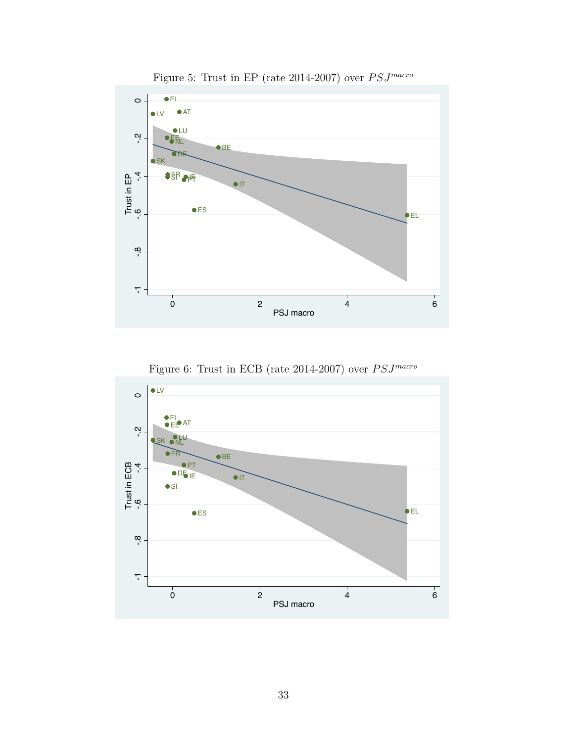<span id="page-33-0"></span>

Figure 5: Trust in EP (rate 2014-2007) over  $PSJ^{macro}$ 



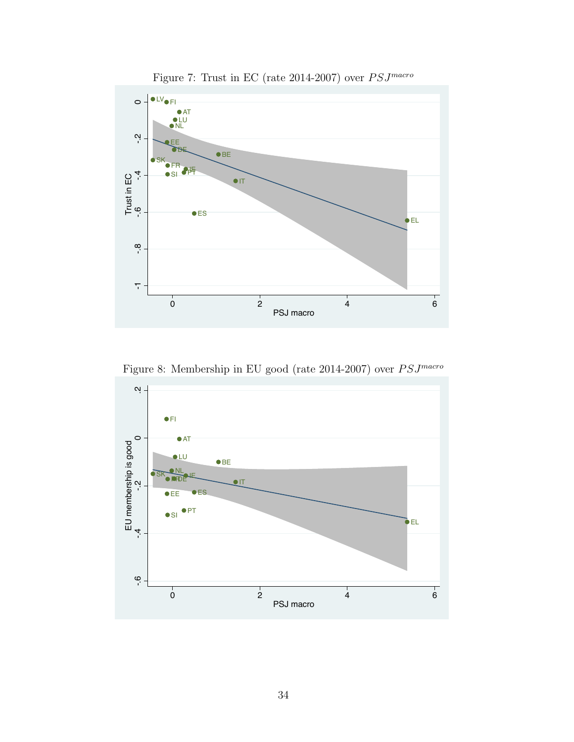

Figure 7: Trust in EC (rate 2014-2007) over  $PSJ^{macro}$ 

Figure 8: Membership in EU good (rate 2014-2007) over  $PSJ^{macro}$ 

<span id="page-34-0"></span>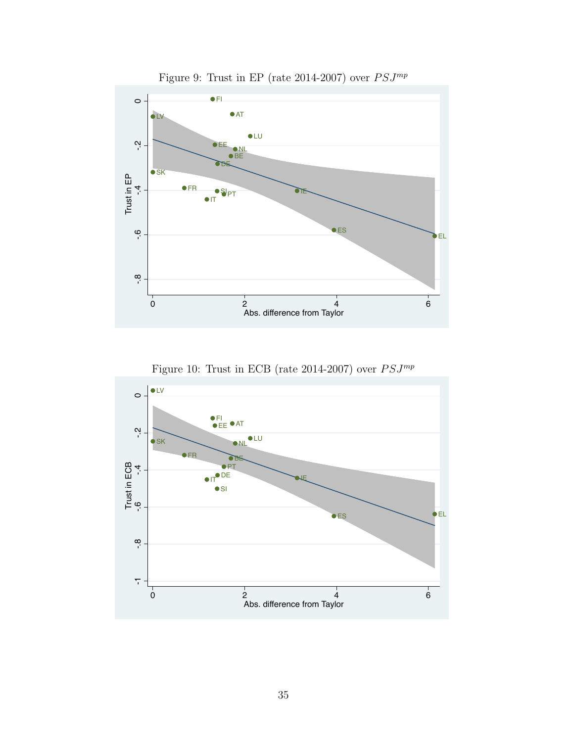<span id="page-35-0"></span>

Figure 9: Trust in EP (rate 2014-2007) over  $PSJ^{mp}$ 



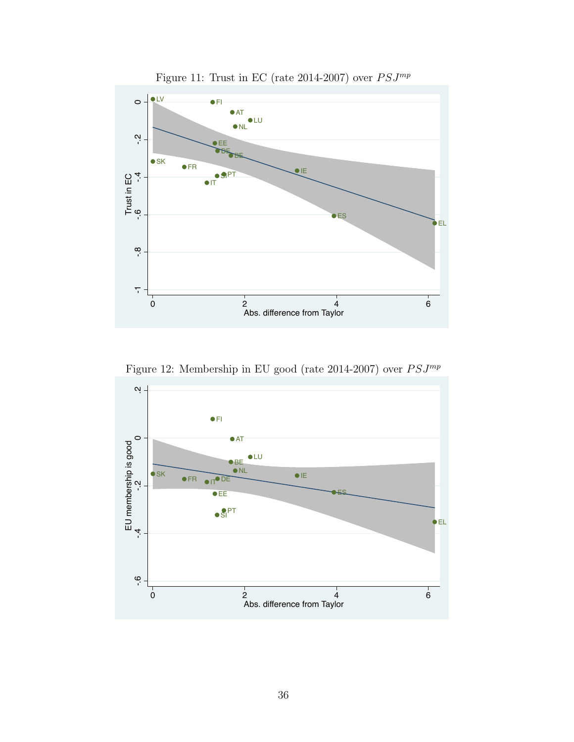

Figure 11: Trust in EC (rate 2014-2007) over  $PSJ^{mp}$ 

Figure 12: Membership in EU good (rate 2014-2007) over  $PSJ^{mp}$ 

<span id="page-36-0"></span>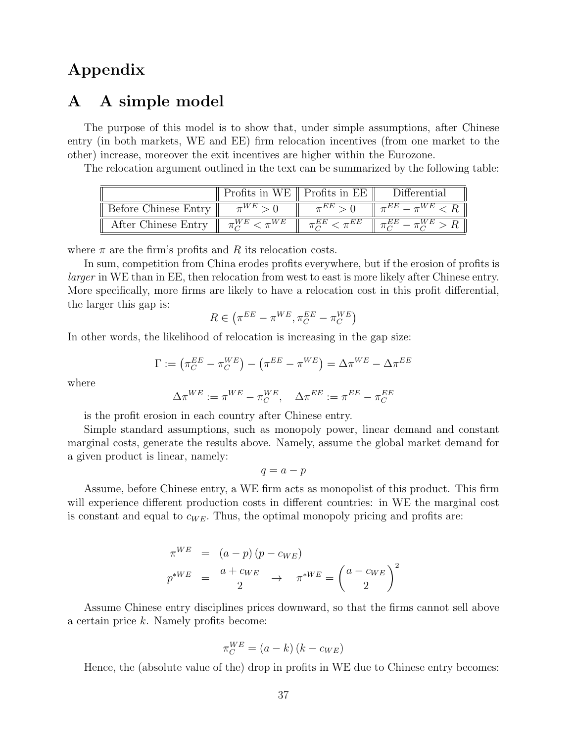## Appendix

## <span id="page-37-0"></span>A A simple model

The purpose of this model is to show that, under simple assumptions, after Chinese entry (in both markets, WE and EE) firm relocation incentives (from one market to the other) increase, moreover the exit incentives are higher within the Eurozone.

The relocation argument outlined in the text can be summarized by the following table:

|                      | Profits in WE $\parallel$ Profits in EE | Differential |
|----------------------|-----------------------------------------|--------------|
| Before Chinese Entry |                                         |              |
| After Chinese Entry  |                                         |              |

where  $\pi$  are the firm's profits and R its relocation costs.

In sum, competition from China erodes profits everywhere, but if the erosion of profits is larger in WE than in EE, then relocation from west to east is more likely after Chinese entry. More specifically, more firms are likely to have a relocation cost in this profit differential, the larger this gap is:

$$
R \in \left(\pi^{EE} - \pi^{WE}, \pi_C^{EE} - \pi_C^{WE}\right)
$$

In other words, the likelihood of relocation is increasing in the gap size:

 $\Gamma := \left( \pi_C^{EE} - \pi_C^{WE} \right) - \left( \pi^{EE} - \pi^{WE} \right) = \Delta \pi^{WE} - \Delta \pi^{EE}$ 

where

$$
\Delta \pi^{WE} := \pi^{WE} - \pi_C^{WE}, \quad \Delta \pi^{EE} := \pi^{EE} - \pi_C^{EE}
$$

is the profit erosion in each country after Chinese entry.

Simple standard assumptions, such as monopoly power, linear demand and constant marginal costs, generate the results above. Namely, assume the global market demand for a given product is linear, namely:

$$
q = a - p
$$

Assume, before Chinese entry, a WE firm acts as monopolist of this product. This firm will experience different production costs in different countries: in WE the marginal cost is constant and equal to  $c_{WE}$ . Thus, the optimal monopoly pricing and profits are:

$$
\pi^{WE} = (a - p) (p - c_{WE})
$$
  

$$
p^{*WE} = \frac{a + c_{WE}}{2} \rightarrow \pi^{*WE} = \left(\frac{a - c_{WE}}{2}\right)^2
$$

Assume Chinese entry disciplines prices downward, so that the firms cannot sell above a certain price k. Namely profits become:

$$
\pi_C^{WE} = (a - k)(k - c_{WE})
$$

Hence, the (absolute value of the) drop in profits in WE due to Chinese entry becomes: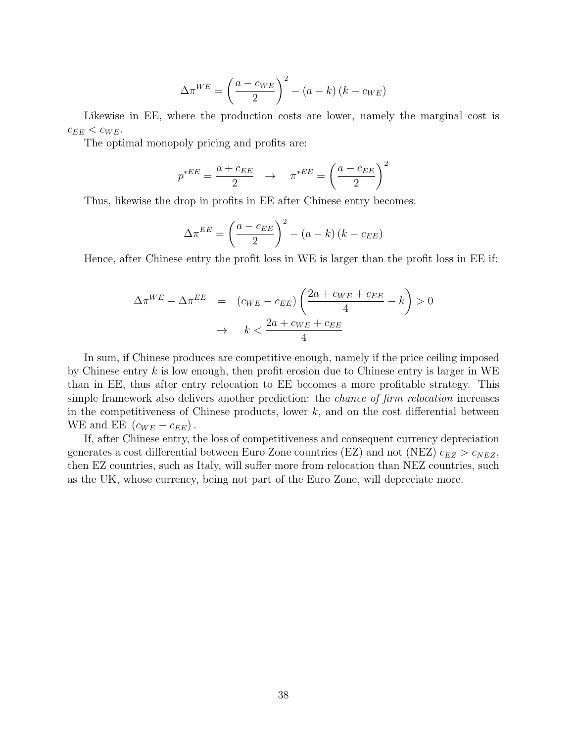$$
\Delta \pi^{WE} = \left(\frac{a - c_{WE}}{2}\right)^2 - (a - k)(k - c_{WE})
$$

Likewise in EE, where the production costs are lower, namely the marginal cost is  $c_{EE} < c_{WE}$ .

The optimal monopoly pricing and profits are:

$$
p^{*EE} = \frac{a + c_{EE}}{2} \rightarrow \pi^{*EE} = \left(\frac{a - c_{EE}}{2}\right)^2
$$

Thus, likewise the drop in profits in EE after Chinese entry becomes:

$$
\Delta \pi^{EE} = \left(\frac{a - c_{EE}}{2}\right)^2 - (a - k)(k - c_{EE})
$$

Hence, after Chinese entry the profit loss in WE is larger than the profit loss in EE if:

$$
\Delta \pi^{WE} - \Delta \pi^{EE} = (c_{WE} - c_{EE}) \left( \frac{2a + c_{WE} + c_{EE}}{4} - k \right) > 0
$$

$$
\rightarrow k < \frac{2a + c_{WE} + c_{EE}}{4}
$$

In sum, if Chinese produces are competitive enough, namely if the price ceiling imposed by Chinese entry  $k$  is low enough, then profit erosion due to Chinese entry is larger in WE than in EE, thus after entry relocation to EE becomes a more profitable strategy. This simple framework also delivers another prediction: the *chance of firm relocation* increases in the competitiveness of Chinese products, lower  $k$ , and on the cost differential between WE and EE  $(c_{WE} - c_{EE})$ .

If, after Chinese entry, the loss of competitiveness and consequent currency depreciation generates a cost differential between Euro Zone countries (EZ) and not (NEZ)  $c_{EZ} > c_{NEZ}$ , then EZ countries, such as Italy, will suffer more from relocation than NEZ countries, such as the UK, whose currency, being not part of the Euro Zone, will depreciate more.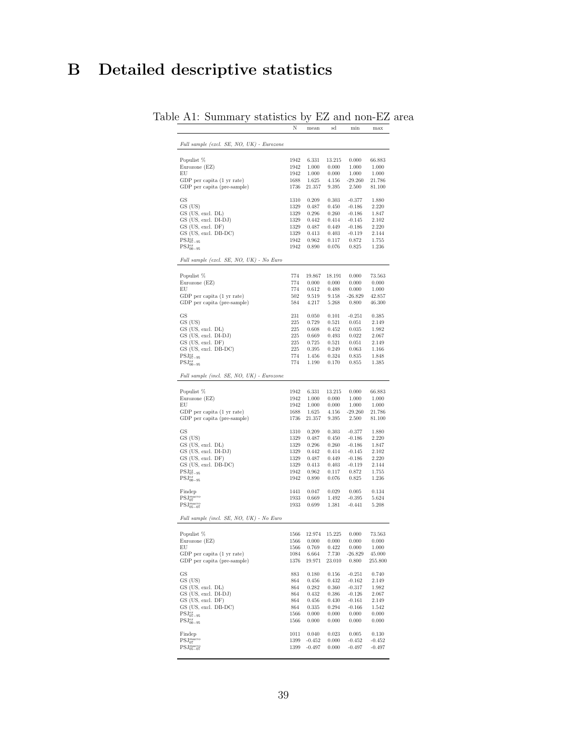# <span id="page-39-0"></span>B Detailed descriptive statistics

|                                                                    | N            | mean                 | sd             | min                  | max                  |
|--------------------------------------------------------------------|--------------|----------------------|----------------|----------------------|----------------------|
|                                                                    |              |                      |                |                      |                      |
| Full sample (excl. SE, NO, UK) - Eurozone                          |              |                      |                |                      |                      |
|                                                                    |              |                      |                |                      |                      |
| Populist %                                                         | 1942         | 6.331                | 13.215         | 0.000                | 66.883               |
| Eurozone (EZ)<br>EU                                                | 1942         | 1.000                | 0.000          | 1.000                | 1.000                |
| GDP per capita (1 yr rate)                                         | 1942<br>1688 | 1.000<br>1.625       | 0.000<br>4.156 | 1.000<br>$-29.260$   | 1.000<br>21.786      |
| GDP per capita (pre-sample)                                        | 1736         | 21.357               | 9.395          | 2.500                | 81.100               |
|                                                                    |              |                      |                |                      |                      |
| GS                                                                 | 1310         | 0.209                | 0.303          | $-0.377$             | 1.880                |
| GS (US)                                                            | 1329         | 0.487                | 0.450          | $-0.186$             | 2.220                |
| GS (US, excl. DL)<br>GS (US, excl. DI-DJ)                          | 1329         | 0.296<br>0.442       | 0.260          | $-0.186$             | 1.847                |
| GS (US, excl. DF)                                                  | 1329<br>1329 | 0.487                | 0.414<br>0.449 | $-0.145$<br>$-0.186$ | 2.102<br>2.220       |
| GS (US, excl. DB-DC)                                               | 1329         | 0.413                | 0.403          | $-0.119$             | 2.144                |
| $\mathrm{PSJ}^{ex}_{07-95}$                                        | 1942         | 0.962                | 0.117          | 0.872                | 1.755                |
| $\mathrm{PSJ}_{00-95}^{ex}$                                        | 1942         | 0.890                | 0.076          | 0.825                | 1.236                |
|                                                                    |              |                      |                |                      |                      |
| Full sample (excl. SE, NO, UK) - No Euro                           |              |                      |                |                      |                      |
| Populist %                                                         | 774          | 19.867               | 18.191         | 0.000                | 73.563               |
| Eurozone (EZ)                                                      | 774          | 0.000                | 0.000          | 0.000                | 0.000                |
| EU                                                                 | 774          | 0.612                | 0.488          | 0.000                | 1.000                |
| GDP per capita (1 yr rate)                                         | 502          | 9.519                | 9.158          | $-26.829$            | 42.857               |
| GDP per capita (pre-sample)                                        | 584          | 4.217                | 5.268          | 0.800                | 46.300               |
|                                                                    |              |                      |                |                      |                      |
| <b>GS</b><br>GS (US)                                               | 231<br>225   | 0.050<br>0.729       | 0.101<br>0.521 | $-0.251$<br>0.051    | 0.385<br>2.149       |
| GS (US, excl. DL)                                                  | 225          | 0.608                | 0.452          | 0.035                | 1.982                |
| GS (US, excl. DI-DJ)                                               | 225          | 0.669                | 0.493          | 0.022                | 2.067                |
| GS (US, excl. DF)                                                  | 225          | 0.725                | 0.521          | 0.051                | 2.149                |
| GS (US, excl. DB-DC)                                               | 225          | 0.395                | 0.249          | 0.063                | 1.166                |
| $\text{PSJ}^{ex}_{07-95}$                                          | 774          | 1.456                | 0.324          | 0.835                | 1.848                |
| $\mathrm{PSJ}_{00-95}^{ex}$                                        | 774          | 1.190                | 0.170          | 0.855                | 1.385                |
| Full sample (incl. SE, NO, UK) - Eurozone                          |              |                      |                |                      |                      |
|                                                                    |              |                      |                |                      |                      |
| Populist %                                                         | 1942         | 6.331                | 13.215         | 0.000                | 66.883               |
| Eurozone (EZ)<br>EU                                                | 1942<br>1942 | 1.000<br>1.000       | 0.000<br>0.000 | 1.000<br>1.000       | 1.000<br>1.000       |
| GDP per capita (1 yr rate)                                         | 1688         | 1.625                | 4.156          | $-29.260$            | 21.786               |
| GDP per capita (pre-sample)                                        | 1736         | 21.357               | 9.395          | 2.500                | 81.100               |
|                                                                    |              |                      |                |                      |                      |
| GS<br>GS (US)                                                      | 1310         | 0.209                | 0.303          | $-0.377$             | 1.880                |
| GS (US, excl. DL)                                                  | 1329<br>1329 | 0.487<br>0.296       | 0.450<br>0.260 | $-0.186$<br>$-0.186$ | 2.220<br>1.847       |
| GS (US, excl. DI-DJ)                                               | 1329         | 0.442                | 0.414          | $-0.145$             | 2.102                |
| GS (US, excl. DF)                                                  | 1329         | 0.487                | 0.449          | $-0.186$             | 2.220                |
| GS (US, excl. DB-DC)                                               | 1329         | 0.413                | 0.403          | $-0.119$             | 2.144                |
| $PSJ_{07-95}^{ex}$                                                 | 1942         | 0.962                | 0.117          | 0.872                | 1.755                |
| $\mathrm{PSJ}_{00-95}^{ex}$                                        | 1942         | 0.890                | 0.076          | 0.825                | 1.236                |
| Findep                                                             | 1441         | 0.047                | 0.029          | 0.005                | 0.134                |
| PSJ <sub>07</sub> <sup>macro</sup>                                 | 1933         | 0.669                | 1.492          | $-0.395$             | 5.624                |
| $PSJ05-07$                                                         | 1933         | 0.699                | 1.381          | $-0.441$             | 5.208                |
| Full sample (incl. SE, NO, UK) - No Euro                           |              |                      |                |                      |                      |
|                                                                    |              |                      |                |                      |                      |
| Populist %                                                         |              |                      |                |                      |                      |
|                                                                    | 1566         | 12.974               | 15.225         | 0.000                | 73.563               |
| Eurozone (EZ)                                                      | 1566         | 0.000                | 0.000          | 0.000                | 0.000                |
| EU                                                                 | 1566         | 0.769                | 0.422          | 0.000                | 1.000                |
| GDP per capita (1 yr rate)                                         | 1084         | 6.664                | 7.730          | $-26.829$            | 45.000               |
| GDP per capita (pre-sample)                                        | 1376         | 19.971               | 23.010         | 0.800                | 255.800              |
| GS                                                                 | 883          | 0.180                | 0.156          | $-0.251$             | 0.740                |
| GS (US)                                                            | 864          | 0.456                | 0.432          | $-0.162$             | 2.149                |
| GS (US, excl. DL)                                                  | 864          | 0.282                | 0.360          | $-0.317$             | 1.982                |
| GS (US, excl. DI-DJ)                                               | 864          | 0.432                | 0.386          | $-0.126$             | 2.067                |
| GS (US, excl. DF)                                                  | 864          | 0.456                | 0.430          | $-0.161$             | 2.149                |
| GS (US, excl. DB-DC)                                               | 864          | 0.335                | 0.294          | $-0.166$             | 1.542                |
| $\mathrm{PSJ}^{ex}_{07-95}$                                        | 1566         | 0.000                | 0.000          | 0.000                | 0.000                |
| $\mathrm{PSJ}_{00-95}^{ex}$                                        | 1566         | 0.000                | 0.000          | 0.000                | 0.000                |
| Findep                                                             | 1011         | 0.040                | 0.023          | 0.005                | 0.130                |
| PSJ <sub>07</sub> <sup>macro</sup><br>$\text{PSJ}^{macro}_{05-07}$ | 1399<br>1399 | $-0.452$<br>$-0.497$ | 0.000<br>0.000 | $-0.452$<br>$-0.497$ | $-0.452$<br>$-0.497$ |

#### Table A1: Summary statistics by EZ and non-EZ area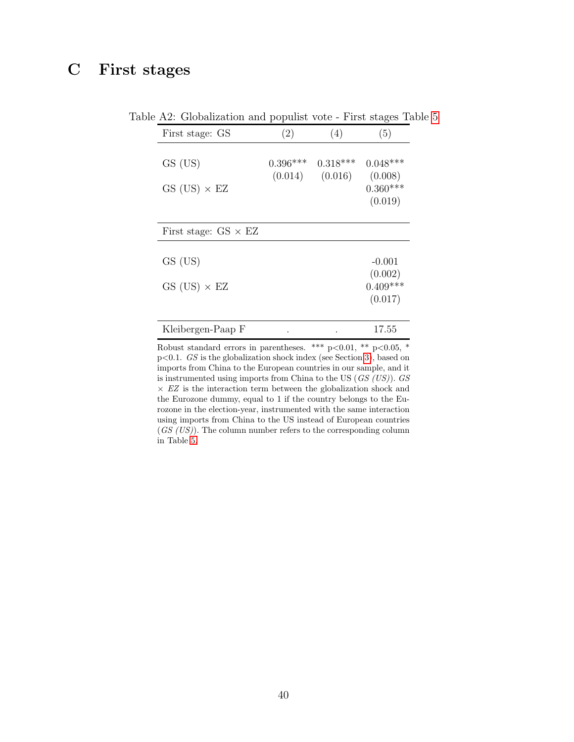# <span id="page-40-0"></span>C First stages

| First stage: GS             | (2)        | (4)        | (5)        |
|-----------------------------|------------|------------|------------|
| GS (US)                     | $0.396***$ | $0.318***$ | $0.048***$ |
|                             | (0.014)    | (0.016)    | (0.008)    |
| $GS$ (US) $\times$ EZ       |            |            | $0.360***$ |
|                             |            |            | (0.019)    |
| First stage: $GS \times EZ$ |            |            |            |
| GS (US)                     |            |            | $-0.001$   |
|                             |            |            | (0.002)    |
| $GS$ (US) $\times$ EZ       |            |            | $0.409***$ |
|                             |            |            | (0.017)    |
| Kleibergen-Paap F           |            |            | 17.55      |

Table A2: Globalization and populist vote - First stages Table [5](#page-26-0)

Robust standard errors in parentheses. \*\*\* p<0.01, \*\* p<0.05, \* p<0.1. GS is the globalization shock index (see Section [3\)](#page-7-0), based on imports from China to the European countries in our sample, and it is instrumented using imports from China to the US  $(GS (US))$ . GS  $\times$   $EZ$  is the interaction term between the globalization shock and the Eurozone dummy, equal to 1 if the country belongs to the Eurozone in the election-year, instrumented with the same interaction using imports from China to the US instead of European countries  $(GS (US))$ . The column number refers to the corresponding column in Table [5.](#page-26-0)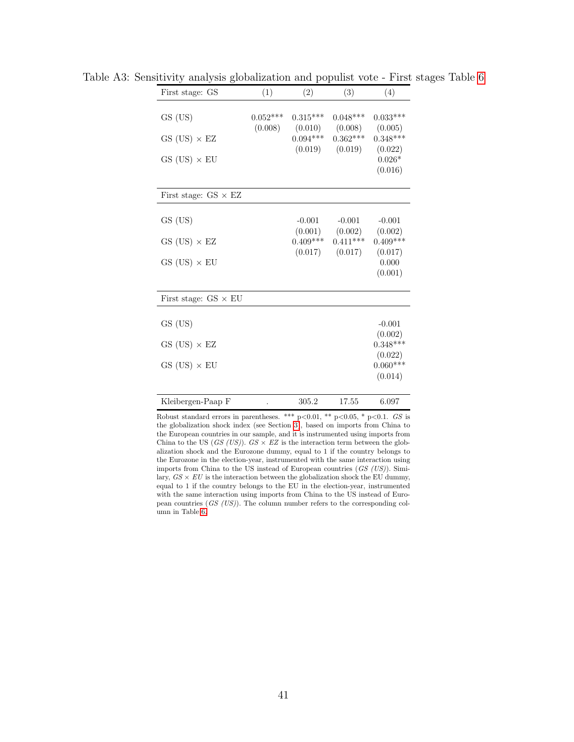| First stage: GS             | (1)        | (2)                 | (3)                 | (4)                 |
|-----------------------------|------------|---------------------|---------------------|---------------------|
|                             |            |                     |                     |                     |
| GS (US)                     | $0.052***$ | $0.315***$          | $0.048***$          | $0.033***$          |
|                             | (0.008)    | (0.010)             | (0.008)             | (0.005)             |
| $GS$ (US) $\times$ EZ       |            | $0.094***$          | $0.362***$          | $0.348***$          |
|                             |            | (0.019)             | (0.019)             | (0.022)             |
| $GS$ (US) $\times$ EU       |            |                     |                     | $0.026*$<br>(0.016) |
|                             |            |                     |                     |                     |
| First stage: $GS \times EZ$ |            |                     |                     |                     |
|                             |            |                     |                     |                     |
| GS (US)                     |            | $-0.001$<br>(0.001) | $-0.001$<br>(0.002) | $-0.001$<br>(0.002) |
| $GS$ (US) $\times$ EZ       |            | $0.409***$          | $0.411***$          | $0.409***$          |
|                             |            | (0.017)             | (0.017)             | (0.017)             |
| $GS$ (US) $\times$ EU       |            |                     |                     | 0.000               |
|                             |            |                     |                     | (0.001)             |
|                             |            |                     |                     |                     |
| First stage: $GS \times EU$ |            |                     |                     |                     |
| GS (US)                     |            |                     |                     | $-0.001$            |
|                             |            |                     |                     | (0.002)             |
| $GS$ (US) $\times$ EZ       |            |                     |                     | $0.348***$          |
|                             |            |                     |                     | (0.022)             |
| $GS$ (US) $\times$ EU       |            |                     |                     | $0.060***$          |
|                             |            |                     |                     | (0.014)             |
| Kleibergen-Paap F           |            | 305.2               | 17.55               | 6.097               |

Table A3: Sensitivity analysis globalization and populist vote - First stages Table [6](#page-26-1)

Robust standard errors in parentheses. \*\*\* p<0.01, \*\* p<0.05, \* p<0.1. GS is the globalization shock index (see Section [3\)](#page-7-0), based on imports from China to the European countries in our sample, and it is instrumented using imports from China to the US (GS (US)).  $GS \times EZ$  is the interaction term between the globalization shock and the Eurozone dummy, equal to 1 if the country belongs to the Eurozone in the election-year, instrumented with the same interaction using imports from China to the US instead of European countries (GS (US)). Similary,  $GS \times EU$  is the interaction between the globalization shock the EU dummy, equal to 1 if the country belongs to the EU in the election-year, instrumented with the same interaction using imports from China to the US instead of European countries (GS (US)). The column number refers to the corresponding column in Table [6.](#page-26-1)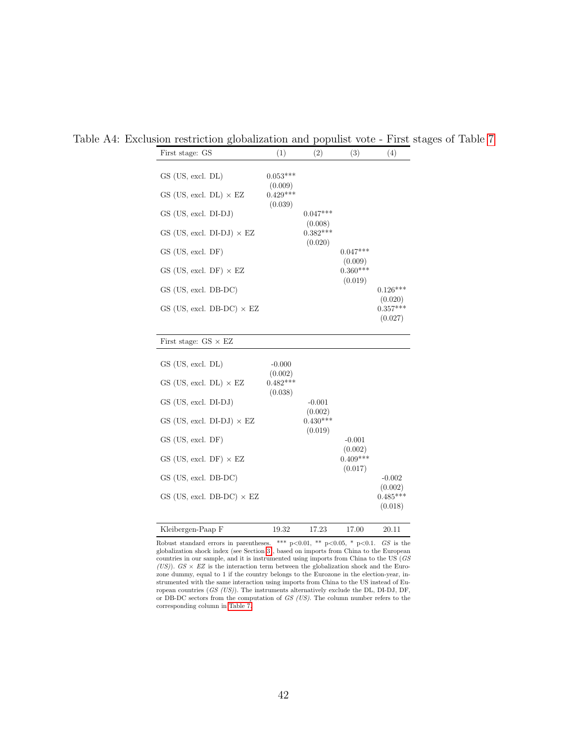| First stage: GS                    | (1)                              | (2)                   | (3)                   | (4)                              |
|------------------------------------|----------------------------------|-----------------------|-----------------------|----------------------------------|
| GS (US, excl. DL)                  | $0.053***$                       |                       |                       |                                  |
| $GS$ (US, excl. DL) $\times$ EZ    | (0.009)<br>$0.429***$            |                       |                       |                                  |
| GS (US, excl. DI-DJ)               | (0.039)                          | $0.047***$            |                       |                                  |
| GS (US, excl. DI-DJ) $\times$ EZ   |                                  | (0.008)<br>$0.382***$ |                       |                                  |
| $GS$ (US, excl. DF)                |                                  | (0.020)               | $0.047***$            |                                  |
| GS (US, excl. DF) $\times$ EZ      |                                  |                       | (0.009)<br>$0.360***$ |                                  |
| GS (US, excl. DB-DC)               |                                  |                       | (0.019)               | $0.126***$                       |
| $GS$ (US, excl. DB-DC) $\times$ EZ |                                  |                       |                       | (0.020)<br>$0.357***$<br>(0.027) |
| First stage: $GS \times EZ$        |                                  |                       |                       |                                  |
| GS (US, excl. DL)                  | $-0.000$                         |                       |                       |                                  |
| $GS$ (US, excl. DL) $\times$ EZ    | (0.002)<br>$0.482***$<br>(0.038) |                       |                       |                                  |
| GS (US, excl. DI-DJ)               |                                  | $-0.001$              |                       |                                  |
| GS (US, excl. DI-DJ) $\times$ EZ   |                                  | (0.002)<br>$0.430***$ |                       |                                  |
| $GS$ (US, excl. DF)                |                                  | (0.019)               | $-0.001$              |                                  |
| GS (US, excl. DF) $\times$ EZ      |                                  |                       | (0.002)<br>$0.409***$ |                                  |
| GS (US, excl. DB-DC)               |                                  |                       | (0.017)               | $-0.002$                         |
| $GS$ (US, excl. DB-DC) $\times$ EZ |                                  |                       |                       | (0.002)<br>$0.485***$<br>(0.018) |
| Kleibergen-Paap F                  | 19.32                            | 17.23                 | 17.00                 | 20.11                            |

Table A4: Exclusion restriction globalization and populist vote - First stages of Table [7](#page-27-0)

Robust standard errors in parentheses. \*\*\* p<0.01, \*\* p<0.05, \* p<0.1.  $GS$  is the globalization shock index (see Section [3\)](#page-7-0), based on imports from China to the European countries in our sample, and it is instrumented using imports from China to the US (GS (US)).  $GS \times EZ$  is the interaction term between the globalization shock and the Eurozone dummy, equal to 1 if the country belongs to the Eurozone in the election-year, instrumented with the same interaction using imports from China to the US instead of European countries (GS (US)). The instruments alternatively exclude the DL, DI-DJ, DF, or DB-DC sectors from the computation of GS (US). The column number refers to the corresponding column in [Table 7.](#page-27-0)